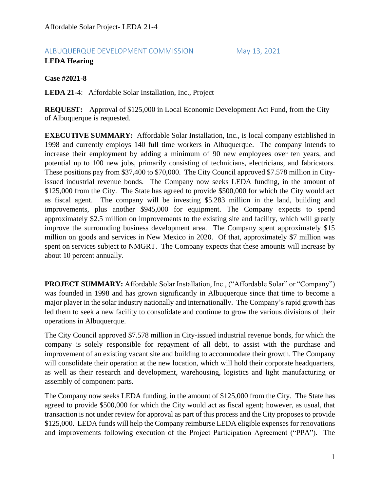# ALBUQUERQUE DEVELOPMENT COMMISSION May 13, 2021

# **LEDA Hearing**

**Case #2021-8**

**LEDA 21**-4: Affordable Solar Installation, Inc., Project

**REQUEST:** Approval of \$125,000 in Local Economic Development Act Fund, from the City of Albuquerque is requested.

**EXECUTIVE SUMMARY:** Affordable Solar Installation, Inc., is local company established in 1998 and currently employs 140 full time workers in Albuquerque. The company intends to increase their employment by adding a minimum of 90 new employees over ten years, and potential up to 100 new jobs, primarily consisting of technicians, electricians, and fabricators. These positions pay from \$37,400 to \$70,000. The City Council approved \$7.578 million in Cityissued industrial revenue bonds. The Company now seeks LEDA funding, in the amount of \$125,000 from the City. The State has agreed to provide \$500,000 for which the City would act as fiscal agent. The company will be investing \$5.283 million in the land, building and improvements, plus another \$945,000 for equipment. The Company expects to spend approximately \$2.5 million on improvements to the existing site and facility, which will greatly improve the surrounding business development area. The Company spent approximately \$15 million on goods and services in New Mexico in 2020. Of that, approximately \$7 million was spent on services subject to NMGRT. The Company expects that these amounts will increase by about 10 percent annually.

**PROJECT SUMMARY:** Affordable Solar Installation, Inc., ("Affordable Solar" or "Company") was founded in 1998 and has grown significantly in Albuquerque since that time to become a major player in the solar industry nationally and internationally. The Company's rapid growth has led them to seek a new facility to consolidate and continue to grow the various divisions of their operations in Albuquerque.

The City Council approved \$7.578 million in City-issued industrial revenue bonds, for which the company is solely responsible for repayment of all debt, to assist with the purchase and improvement of an existing vacant site and building to accommodate their growth. The Company will consolidate their operation at the new location, which will hold their corporate headquarters, as well as their research and development, warehousing, logistics and light manufacturing or assembly of component parts.

The Company now seeks LEDA funding, in the amount of \$125,000 from the City. The State has agreed to provide \$500,000 for which the City would act as fiscal agent; however, as usual, that transaction is not under review for approval as part of this process and the City proposes to provide \$125,000. LEDA funds will help the Company reimburse LEDA eligible expenses for renovations and improvements following execution of the Project Participation Agreement ("PPA"). The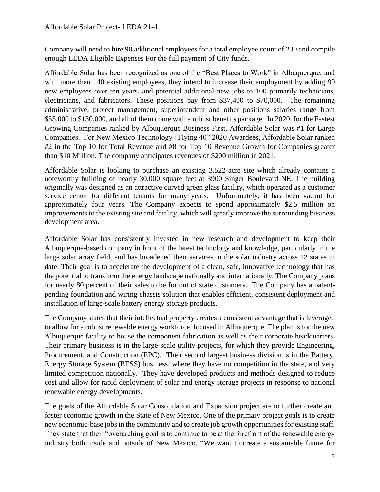Company will need to hire 90 additional employees for a total employee count of 230 and compile enough LEDA Eligible Expenses For the full payment of City funds.

Affordable Solar has been recognized as one of the "Best Places to Work" in Albuquerque, and with more than 140 existing employees, they intend to increase their employment by adding 90 new employees over ten years, and potential additional new jobs to 100 primarily technicians, electricians, and fabricators. These positions pay from \$37,400 to \$70,000. The remaining administrative, project management, superintendent and other positions salaries range from \$55,000 to \$130,000, and all of them come with a robust benefits package. In 2020, for the Fastest Growing Companies ranked by Albuquerque Business First, Affordable Solar was #1 for Large Companies. For New Mexico Technology "Flying 40" 2020 Awardees, Affordable Solar ranked #2 in the Top 10 for Total Revenue and #8 for Top 10 Revenue Growth for Companies greater than \$10 Million. The company anticipates revenues of \$200 million in 2021.

Affordable Solar is looking to purchase an existing 3.522-acre site which already contains a noteworthy building of nearly 30,000 square feet at 3900 Singer Boulevard NE. The building originally was designed as an attractive curved green glass facility, which operated as a customer service center for different tenants for many years. Unfortunately, it has been vacant for approximately four years. The Company expects to spend approximately \$2.5 million on improvements to the existing site and facility, which will greatly improve the surrounding business development area.

Affordable Solar has consistently invested in new research and development to keep their Albuquerque-based company in front of the latest technology and knowledge, particularly in the large solar array field, and has broadened their services in the solar industry across 12 states to date. Their goal is to accelerate the development of a clean, safe, innovative technology that has the potential to transform the energy landscape nationally and internationally. The Company plans for nearly 80 percent of their sales to be for out of state customers. The Company has a patentpending foundation and wiring chassis solution that enables efficient, consistent deployment and installation of large-scale battery energy storage products.

The Company states that their intellectual property creates a consistent advantage that is leveraged to allow for a robust renewable energy workforce, focused in Albuquerque. The plan is for the new Albuquerque facility to house the component fabrication as well as their corporate headquarters. Their primary business is in the large-scale utility projects, for which they provide Engineering, Procurement, and Construction (EPC). Their second largest business division is in the Battery, Energy Storage System (BESS) business, where they have no competition in the state, and very limited competition nationally. They have developed products and methods designed to reduce cost and allow for rapid deployment of solar and energy storage projects in response to national renewable energy developments.

The goals of the Affordable Solar Consolidation and Expansion project are to further create and foster economic growth in the State of New Mexico. One of the primary project goals is to create new economic-base jobs in the community and to create job growth opportunities for existing staff. They state that their "overarching goal is to continue to be at the forefront of the renewable energy industry both inside and outside of New Mexico. "We want to create a sustainable future for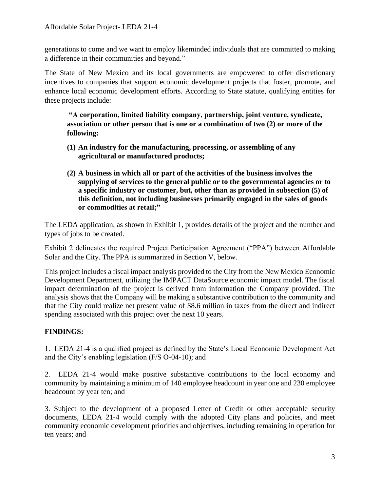generations to come and we want to employ likeminded individuals that are committed to making a difference in their communities and beyond."

The State of New Mexico and its local governments are empowered to offer discretionary incentives to companies that support economic development projects that foster, promote, and enhance local economic development efforts. According to State statute, qualifying entities for these projects include:

**"A corporation, limited liability company, partnership, joint venture, syndicate, association or other person that is one or a combination of two (2) or more of the following:**

- **(1) An industry for the manufacturing, processing, or assembling of any agricultural or manufactured products;**
- **(2) A business in which all or part of the activities of the business involves the supplying of services to the general public or to the governmental agencies or to a specific industry or customer, but, other than as provided in subsection (5) of this definition, not including businesses primarily engaged in the sales of goods or commodities at retail;"**

The LEDA application, as shown in Exhibit 1, provides details of the project and the number and types of jobs to be created.

Exhibit 2 delineates the required Project Participation Agreement ("PPA") between Affordable Solar and the City. The PPA is summarized in Section V, below.

This project includes a fiscal impact analysis provided to the City from the New Mexico Economic Development Department, utilizing the IMPACT DataSource economic impact model. The fiscal impact determination of the project is derived from information the Company provided. The analysis shows that the Company will be making a substantive contribution to the community and that the City could realize net present value of \$8.6 million in taxes from the direct and indirect spending associated with this project over the next 10 years.

# **FINDINGS:**

1. LEDA 21-4 is a qualified project as defined by the State's Local Economic Development Act and the City's enabling legislation (F/S O-04-10); and

2. LEDA 21-4 would make positive substantive contributions to the local economy and community by maintaining a minimum of 140 employee headcount in year one and 230 employee headcount by year ten; and

3. Subject to the development of a proposed Letter of Credit or other acceptable security documents, LEDA 21-4 would comply with the adopted City plans and policies, and meet community economic development priorities and objectives, including remaining in operation for ten years; and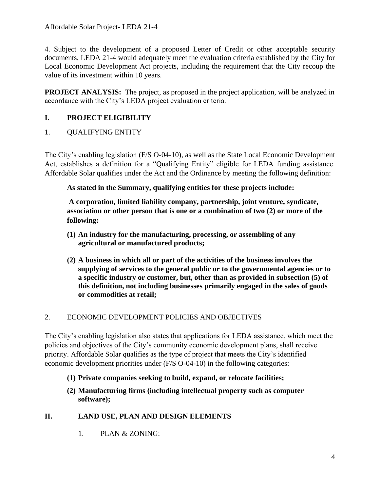4. Subject to the development of a proposed Letter of Credit or other acceptable security documents, LEDA 21-4 would adequately meet the evaluation criteria established by the City for Local Economic Development Act projects, including the requirement that the City recoup the value of its investment within 10 years.

**PROJECT ANALYSIS:** The project, as proposed in the project application, will be analyzed in accordance with the City's LEDA project evaluation criteria.

# **I. PROJECT ELIGIBILITY**

1. QUALIFYING ENTITY

The City's enabling legislation (F/S O-04-10), as well as the State Local Economic Development Act, establishes a definition for a "Qualifying Entity" eligible for LEDA funding assistance. Affordable Solar qualifies under the Act and the Ordinance by meeting the following definition:

**As stated in the Summary, qualifying entities for these projects include:**

**A corporation, limited liability company, partnership, joint venture, syndicate, association or other person that is one or a combination of two (2) or more of the following:**

- **(1) An industry for the manufacturing, processing, or assembling of any agricultural or manufactured products;**
- **(2) A business in which all or part of the activities of the business involves the supplying of services to the general public or to the governmental agencies or to a specific industry or customer, but, other than as provided in subsection (5) of this definition, not including businesses primarily engaged in the sales of goods or commodities at retail;**

# 2. ECONOMIC DEVELOPMENT POLICIES AND OBJECTIVES

The City's enabling legislation also states that applications for LEDA assistance, which meet the policies and objectives of the City's community economic development plans, shall receive priority. Affordable Solar qualifies as the type of project that meets the City's identified economic development priorities under (F/S O-04-10) in the following categories:

- **(1) Private companies seeking to build, expand, or relocate facilities;**
- **(2) Manufacturing firms (including intellectual property such as computer software);**

# **II. LAND USE, PLAN AND DESIGN ELEMENTS**

1. PLAN & ZONING: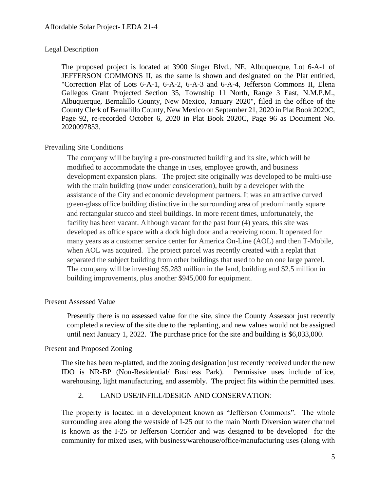### Legal Description

The proposed project is located at 3900 Singer Blvd., NE, Albuquerque, Lot 6-A-1 of JEFFERSON COMMONS II, as the same is shown and designated on the Plat entitled, "Correction Plat of Lots 6-A-1, 6-A-2, 6-A-3 and 6-A-4, Jefferson Commons II, Elena Gallegos Grant Projected Section 35, Township 11 North, Range 3 East, N.M.P.M., Albuquerque, Bernalillo County, New Mexico, January 2020", filed in the office of the County Clerk of Bernalillo County, New Mexico on September 21, 2020 in Plat Book 2020C, Page 92, re-recorded October 6, 2020 in Plat Book 2020C, Page 96 as Document No. 2020097853.

## Prevailing Site Conditions

The company will be buying a pre-constructed building and its site, which will be modified to accommodate the change in uses, employee growth, and business development expansion plans. The project site originally was developed to be multi-use with the main building (now under consideration), built by a developer with the assistance of the City and economic development partners. It was an attractive curved green-glass office building distinctive in the surrounding area of predominantly square and rectangular stucco and steel buildings. In more recent times, unfortunately, the facility has been vacant. Although vacant for the past four (4) years, this site was developed as office space with a dock high door and a receiving room. It operated for many years as a customer service center for America On-Line (AOL) and then T-Mobile, when AOL was acquired. The project parcel was recently created with a replat that separated the subject building from other buildings that used to be on one large parcel. The company will be investing \$5.283 million in the land, building and \$2.5 million in building improvements, plus another \$945,000 for equipment.

#### Present Assessed Value

Presently there is no assessed value for the site, since the County Assessor just recently completed a review of the site due to the replanting, and new values would not be assigned until next January 1, 2022. The purchase price for the site and building is \$6,033,000.

## Present and Proposed Zoning

The site has been re-platted, and the zoning designation just recently received under the new IDO is NR-BP (Non-Residential/ Business Park). Permissive uses include office, warehousing, light manufacturing, and assembly. The project fits within the permitted uses.

#### 2. LAND USE/INFILL/DESIGN AND CONSERVATION:

The property is located in a development known as "Jefferson Commons". The whole surrounding area along the westside of I-25 out to the main North Diversion water channel is known as the I-25 or Jefferson Corridor and was designed to be developed for the community for mixed uses, with business/warehouse/office/manufacturing uses (along with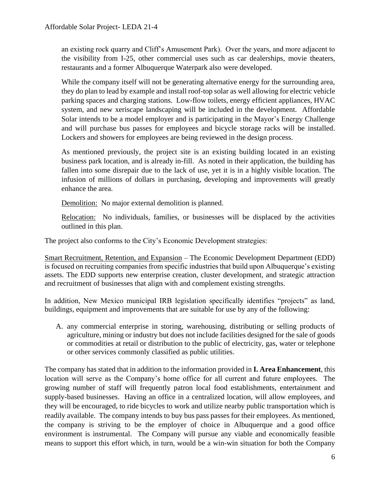an existing rock quarry and Cliff's Amusement Park). Over the years, and more adjacent to the visibility from I-25, other commercial uses such as car dealerships, movie theaters, restaurants and a former Albuquerque Waterpark also were developed.

While the company itself will not be generating alternative energy for the surrounding area, they do plan to lead by example and install roof-top solar as well allowing for electric vehicle parking spaces and charging stations. Low-flow toilets, energy efficient appliances, HVAC system, and new xeriscape landscaping will be included in the development. Affordable Solar intends to be a model employer and is participating in the Mayor's Energy Challenge and will purchase bus passes for employees and bicycle storage racks will be installed. Lockers and showers for employees are being reviewed in the design process.

As mentioned previously, the project site is an existing building located in an existing business park location, and is already in-fill. As noted in their application, the building has fallen into some disrepair due to the lack of use, yet it is in a highly visible location. The infusion of millions of dollars in purchasing, developing and improvements will greatly enhance the area.

Demolition: No major external demolition is planned.

Relocation: No individuals, families, or businesses will be displaced by the activities outlined in this plan.

The project also conforms to the City's Economic Development strategies:

Smart Recruitment, Retention, and Expansion – The Economic Development Department (EDD) is focused on recruiting companies from specific industries that build upon Albuquerque's existing assets. The EDD supports new enterprise creation, cluster development, and strategic attraction and recruitment of businesses that align with and complement existing strengths.

In addition, New Mexico municipal IRB legislation specifically identifies "projects" as land, buildings, equipment and improvements that are suitable for use by any of the following:

A. any commercial enterprise in storing, warehousing, distributing or selling products of agriculture, mining or industry but does not include facilities designed for the sale of goods or commodities at retail or distribution to the public of electricity, gas, water or telephone or other services commonly classified as public utilities.

The company has stated that in addition to the information provided in **I. Area Enhancement**, this location will serve as the Company's home office for all current and future employees. The growing number of staff will frequently patron local food establishments, entertainment and supply-based businesses. Having an office in a centralized location, will allow employees, and they will be encouraged, to ride bicycles to work and utilize nearby public transportation which is readily available. The company intends to buy bus pass passes for their employees. As mentioned, the company is striving to be the employer of choice in Albuquerque and a good office environment is instrumental. The Company will pursue any viable and economically feasible means to support this effort which, in turn, would be a win-win situation for both the Company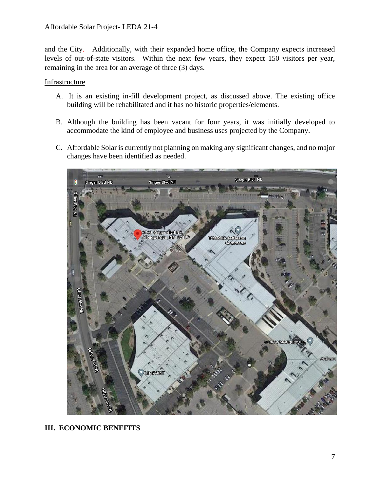and the City. Additionally, with their expanded home office, the Company expects increased levels of out-of-state visitors. Within the next few years, they expect 150 visitors per year, remaining in the area for an average of three (3) days.

## Infrastructure

- A. It is an existing in-fill development project, as discussed above. The existing office building will be rehabilitated and it has no historic properties/elements.
- B. Although the building has been vacant for four years, it was initially developed to accommodate the kind of employee and business uses projected by the Company.
- C. Affordable Solar is currently not planning on making any significant changes, and no major changes have been identified as needed.



## **III. ECONOMIC BENEFITS**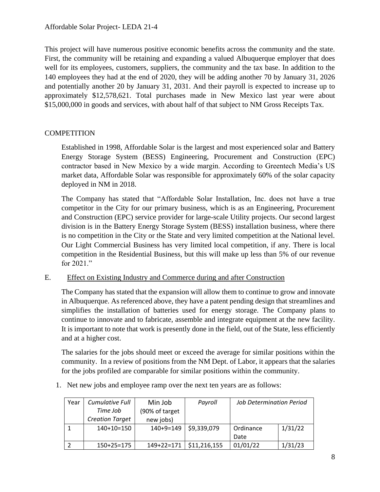This project will have numerous positive economic benefits across the community and the state. First, the community will be retaining and expanding a valued Albuquerque employer that does well for its employees, customers, suppliers, the community and the tax base. In addition to the 140 employees they had at the end of 2020, they will be adding another 70 by January 31, 2026 and potentially another 20 by January 31, 2031. And their payroll is expected to increase up to approximately \$12,578,621. Total purchases made in New Mexico last year were about \$15,000,000 in goods and services, with about half of that subject to NM Gross Receipts Tax.

## **COMPETITION**

Established in 1998, Affordable Solar is the largest and most experienced solar and Battery Energy Storage System (BESS) Engineering, Procurement and Construction (EPC) contractor based in New Mexico by a wide margin. According to Greentech Media's US market data, Affordable Solar was responsible for approximately 60% of the solar capacity deployed in NM in 2018.

The Company has stated that "Affordable Solar Installation, Inc. does not have a true competitor in the City for our primary business, which is as an Engineering, Procurement and Construction (EPC) service provider for large-scale Utility projects. Our second largest division is in the Battery Energy Storage System (BESS) installation business, where there is no competition in the City or the State and very limited competition at the National level. Our Light Commercial Business has very limited local competition, if any. There is local competition in the Residential Business, but this will make up less than 5% of our revenue for 2021."

## E. Effect on Existing Industry and Commerce during and after Construction

The Company has stated that the expansion will allow them to continue to grow and innovate in Albuquerque. As referenced above, they have a patent pending design that streamlines and simplifies the installation of batteries used for energy storage. The Company plans to continue to innovate and to fabricate, assemble and integrate equipment at the new facility. It is important to note that work is presently done in the field, out of the State, less efficiently and at a higher cost.

The salaries for the jobs should meet or exceed the average for similar positions within the community. In a review of positions from the NM Dept. of Labor, it appears that the salaries for the jobs profiled are comparable for similar positions within the community.

1. Net new jobs and employee ramp over the next ten years are as follows:

| Year | <b>Cumulative Full</b> | Min Job        | Payroll      | <b>Job Determination Period</b> |         |
|------|------------------------|----------------|--------------|---------------------------------|---------|
|      | Time Job               | (90% of target |              |                                 |         |
|      | <b>Creation Target</b> | new jobs)      |              |                                 |         |
|      | 140+10=150             | $140+9=149$    | \$9,339,079  | Ordinance                       | 1/31/22 |
|      |                        |                |              | Date                            |         |
|      | 150+25=175             | $149+22=171$   | \$11,216,155 | 01/01/22                        | 1/31/23 |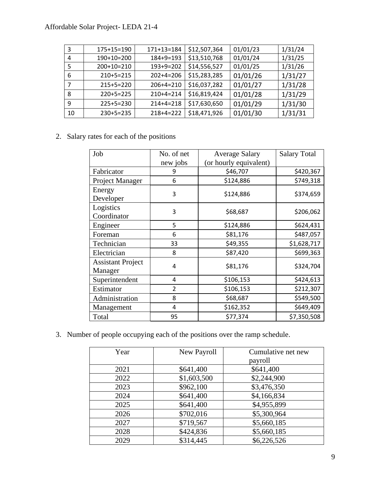# Affordable Solar Project- LEDA 21-4

| 3  | 175+15=190   | 171+13=184      | \$12,507,364 | 01/01/23 | 1/31/24 |
|----|--------------|-----------------|--------------|----------|---------|
| 4  | 190+10=200   | $184 + 9 = 193$ | \$13,510,768 | 01/01/24 | 1/31/25 |
| 5  | $200+10=210$ | $193+9=202$     | \$14,556,527 | 01/01/25 | 1/31/26 |
| 6  | $210+5=215$  | $202+4=206$     | \$15,283,285 | 01/01/26 | 1/31/27 |
| 7  | $215+5=220$  | $206+4=210$     | \$16,037,282 | 01/01/27 | 1/31/28 |
| 8  | $220+5=225$  | $210+4=214$     | \$16,819,424 | 01/01/28 | 1/31/29 |
| 9  | $225+5=230$  | $214 + 4 = 218$ | \$17,630,650 | 01/01/29 | 1/31/30 |
| 10 | $230+5=235$  | $218+4=222$     | \$18,471,926 | 01/01/30 | 1/31/31 |

## 2. Salary rates for each of the positions

| Job                                 | No. of net     | <b>Average Salary</b>  | <b>Salary Total</b> |
|-------------------------------------|----------------|------------------------|---------------------|
|                                     | new jobs       | (or hourly equivalent) |                     |
| Fabricator                          | 9              | \$46,707               | \$420,367           |
| Project Manager                     | 6              | \$124,886              | \$749,318           |
| Energy<br>Developer                 | 3              | \$124,886              | \$374,659           |
| Logistics<br>Coordinator            | 3              | \$68,687               | \$206,062           |
| Engineer                            | 5              | \$124,886              | \$624,431           |
| Foreman                             | 6              | \$81,176               | \$487,057           |
| Technician                          | 33             | \$49,355               | \$1,628,717         |
| Electrician                         | 8              | \$87,420               | \$699,363           |
| <b>Assistant Project</b><br>Manager | $\overline{a}$ | \$81,176               | \$324,704           |
| Superintendent                      | 4              | \$106,153              | \$424,613           |
| Estimator                           | $\overline{2}$ | \$106,153              | \$212,307           |
| Administration                      | 8              | \$68,687               | \$549,500           |
| Management                          | 4              | \$162,352              | \$649,409           |
| Total                               | 95             | \$77,374               | \$7,350,508         |

3. Number of people occupying each of the positions over the ramp schedule.

| Year | New Payroll | Cumulative net new<br>payroll |
|------|-------------|-------------------------------|
| 2021 | \$641,400   | \$641,400                     |
| 2022 | \$1,603,500 | \$2,244,900                   |
| 2023 | \$962,100   | \$3,476,350                   |
| 2024 | \$641,400   | \$4,166,834                   |
| 2025 | \$641,400   | \$4,955,899                   |
| 2026 | \$702,016   | \$5,300,964                   |
| 2027 | \$719,567   | \$5,660,185                   |
| 2028 | \$424,836   | \$5,660,185                   |
| 2029 | \$314,445   | \$6,226,526                   |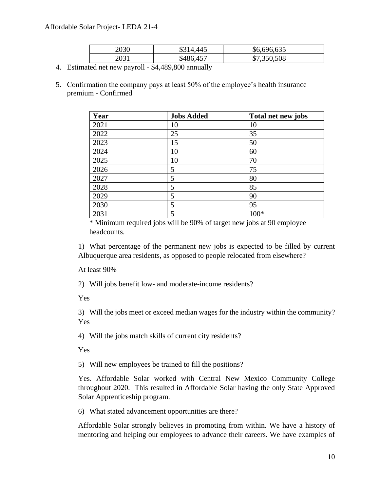## Affordable Solar Project- LEDA 21-4

| 2030 | \$314,445 | \$6,696,635 |
|------|-----------|-------------|
| 2031 | \$486,457 | \$7,350,508 |

- 4. Estimated net new payroll \$4,489,800 annually
- 5. Confirmation the company pays at least 50% of the employee's health insurance premium - Confirmed

| Year | <b>Jobs Added</b> | Total net new jobs |
|------|-------------------|--------------------|
| 2021 | 10                | 10                 |
| 2022 | 25                | 35                 |
| 2023 | 15                | 50                 |
| 2024 | 10                | 60                 |
| 2025 | 10                | 70                 |
| 2026 | 5                 | 75                 |
| 2027 | 5                 | 80                 |
| 2028 | 5                 | 85                 |
| 2029 | 5                 | 90                 |
| 2030 | 5                 | 95                 |
| 2031 | 5                 | $100*$             |

\* Minimum required jobs will be 90% of target new jobs at 90 employee headcounts.

1) What percentage of the permanent new jobs is expected to be filled by current Albuquerque area residents, as opposed to people relocated from elsewhere?

At least 90%

2) Will jobs benefit low- and moderate-income residents?

Yes

3) Will the jobs meet or exceed median wages for the industry within the community? Yes

4) Will the jobs match skills of current city residents?

Yes

5) Will new employees be trained to fill the positions?

Yes. Affordable Solar worked with Central New Mexico Community College throughout 2020. This resulted in Affordable Solar having the only State Approved Solar Apprenticeship program.

6) What stated advancement opportunities are there?

Affordable Solar strongly believes in promoting from within. We have a history of mentoring and helping our employees to advance their careers. We have examples of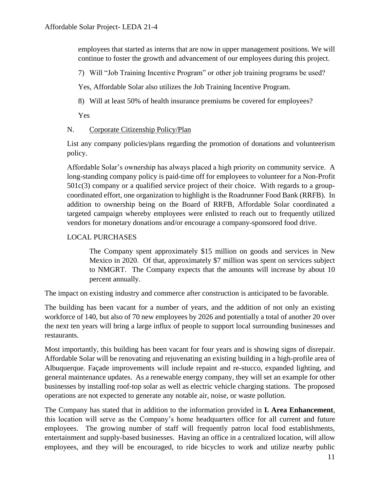employees that started as interns that are now in upper management positions. We will continue to foster the growth and advancement of our employees during this project.

7) Will "Job Training Incentive Program" or other job training programs be used?

Yes, Affordable Solar also utilizes the Job Training Incentive Program.

8) Will at least 50% of health insurance premiums be covered for employees?

Yes

## N. Corporate Citizenship Policy/Plan

List any company policies/plans regarding the promotion of donations and volunteerism policy.

Affordable Solar's ownership has always placed a high priority on community service. A long-standing company policy is paid-time off for employees to volunteer for a Non-Profit 501c(3) company or a qualified service project of their choice. With regards to a groupcoordinated effort, one organization to highlight is the Roadrunner Food Bank (RRFB). In addition to ownership being on the Board of RRFB, Affordable Solar coordinated a targeted campaign whereby employees were enlisted to reach out to frequently utilized vendors for monetary donations and/or encourage a company-sponsored food drive.

## LOCAL PURCHASES

The Company spent approximately \$15 million on goods and services in New Mexico in 2020. Of that, approximately \$7 million was spent on services subject to NMGRT. The Company expects that the amounts will increase by about 10 percent annually.

The impact on existing industry and commerce after construction is anticipated to be favorable.

The building has been vacant for a number of years, and the addition of not only an existing workforce of 140, but also of 70 new employees by 2026 and potentially a total of another 20 over the next ten years will bring a large influx of people to support local surrounding businesses and restaurants.

Most importantly, this building has been vacant for four years and is showing signs of disrepair. Affordable Solar will be renovating and rejuvenating an existing building in a high-profile area of Albuquerque. Façade improvements will include repaint and re-stucco, expanded lighting, and general maintenance updates. As a renewable energy company, they will set an example for other businesses by installing roof-top solar as well as electric vehicle charging stations. The proposed operations are not expected to generate any notable air, noise, or waste pollution.

The Company has stated that in addition to the information provided in **I. Area Enhancement**, this location will serve as the Company's home headquarters office for all current and future employees. The growing number of staff will frequently patron local food establishments, entertainment and supply-based businesses. Having an office in a centralized location, will allow employees, and they will be encouraged, to ride bicycles to work and utilize nearby public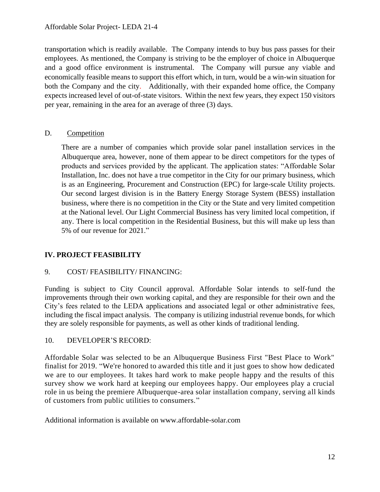transportation which is readily available. The Company intends to buy bus pass passes for their employees. As mentioned, the Company is striving to be the employer of choice in Albuquerque and a good office environment is instrumental. The Company will pursue any viable and economically feasible means to support this effort which, in turn, would be a win-win situation for both the Company and the city. Additionally, with their expanded home office, the Company expects increased level of out-of-state visitors. Within the next few years, they expect 150 visitors per year, remaining in the area for an average of three (3) days.

## D. Competition

There are a number of companies which provide solar panel installation services in the Albuquerque area, however, none of them appear to be direct competitors for the types of products and services provided by the applicant. The application states: "Affordable Solar Installation, Inc. does not have a true competitor in the City for our primary business, which is as an Engineering, Procurement and Construction (EPC) for large-scale Utility projects. Our second largest division is in the Battery Energy Storage System (BESS) installation business, where there is no competition in the City or the State and very limited competition at the National level. Our Light Commercial Business has very limited local competition, if any. There is local competition in the Residential Business, but this will make up less than 5% of our revenue for 2021."

# **IV. PROJECT FEASIBILITY**

# 9. COST/ FEASIBILITY/ FINANCING:

Funding is subject to City Council approval. Affordable Solar intends to self-fund the improvements through their own working capital, and they are responsible for their own and the City's fees related to the LEDA applications and associated legal or other administrative fees, including the fiscal impact analysis. The company is utilizing industrial revenue bonds, for which they are solely responsible for payments, as well as other kinds of traditional lending.

## 10. DEVELOPER'S RECORD:

Affordable Solar was selected to be an Albuquerque Business First "Best Place to Work" finalist for 2019. "We're honored to awarded this title and it just goes to show how dedicated we are to our employees. It takes hard work to make people happy and the results of this survey show we work hard at keeping our employees happy. Our employees play a crucial role in us being the premiere Albuquerque-area solar installation company, serving all kinds of customers from public utilities to consumers."

Additional information is available on www.affordable-solar.com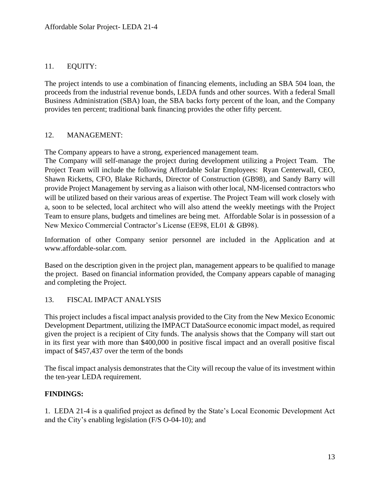## 11. EQUITY:

The project intends to use a combination of financing elements, including an SBA 504 loan, the proceeds from the industrial revenue bonds, LEDA funds and other sources. With a federal Small Business Administration (SBA) loan, the SBA backs forty percent of the loan, and the Company provides ten percent; traditional bank financing provides the other fifty percent.

## 12. MANAGEMENT:

The Company appears to have a strong, experienced management team.

The Company will self-manage the project during development utilizing a Project Team. The Project Team will include the following Affordable Solar Employees: Ryan Centerwall, CEO, Shawn Ricketts, CFO, Blake Richards, Director of Construction (GB98), and Sandy Barry will provide Project Management by serving as a liaison with other local, NM-licensed contractors who will be utilized based on their various areas of expertise. The Project Team will work closely with a, soon to be selected, local architect who will also attend the weekly meetings with the Project Team to ensure plans, budgets and timelines are being met. Affordable Solar is in possession of a New Mexico Commercial Contractor's License (EE98, EL01 & GB98).

Information of other Company senior personnel are included in the Application and at www.affordable-solar.com.

Based on the description given in the project plan, management appears to be qualified to manage the project. Based on financial information provided, the Company appears capable of managing and completing the Project.

## 13. FISCAL IMPACT ANALYSIS

This project includes a fiscal impact analysis provided to the City from the New Mexico Economic Development Department, utilizing the IMPACT DataSource economic impact model, as required given the project is a recipient of City funds. The analysis shows that the Company will start out in its first year with more than \$400,000 in positive fiscal impact and an overall positive fiscal impact of \$457,437 over the term of the bonds

The fiscal impact analysis demonstrates that the City will recoup the value of its investment within the ten-year LEDA requirement.

## **FINDINGS:**

1. LEDA 21-4 is a qualified project as defined by the State's Local Economic Development Act and the City's enabling legislation (F/S O-04-10); and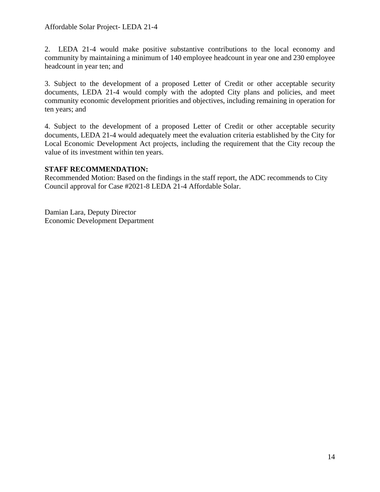2. LEDA 21-4 would make positive substantive contributions to the local economy and community by maintaining a minimum of 140 employee headcount in year one and 230 employee headcount in year ten; and

3. Subject to the development of a proposed Letter of Credit or other acceptable security documents, LEDA 21-4 would comply with the adopted City plans and policies, and meet community economic development priorities and objectives, including remaining in operation for ten years; and

4. Subject to the development of a proposed Letter of Credit or other acceptable security documents, LEDA 21-4 would adequately meet the evaluation criteria established by the City for Local Economic Development Act projects, including the requirement that the City recoup the value of its investment within ten years.

## **STAFF RECOMMENDATION:**

Recommended Motion: Based on the findings in the staff report, the ADC recommends to City Council approval for Case #2021-8 LEDA 21-4 Affordable Solar.

Damian Lara, Deputy Director Economic Development Department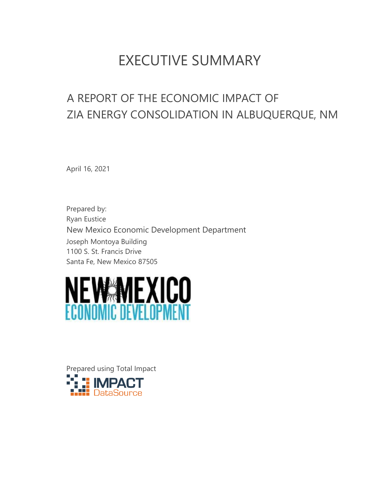# EXECUTIVE SUMMARY

# A REPORT OF THE ECONOMIC IMPACT OF ZIA ENERGY CONSOLIDATION IN ALBUQUERQUE, NM

April 16, 2021

Prepared by: Ryan Eustice New Mexico Economic Development Department Joseph Montoya Building 1100 S. St. Francis Drive Santa Fe, New Mexico 87505



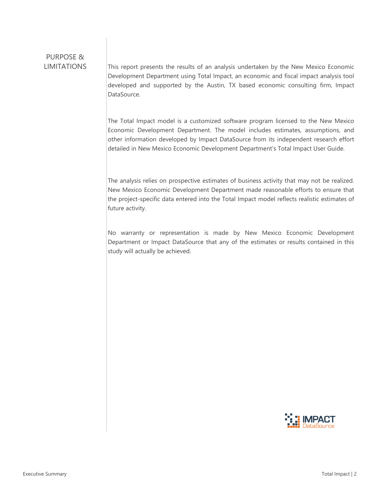# PURPOSE &

 $LIMITATIONS$  This report presents the results of an analysis undertaken by the New Mexico Economic Development Department using Total Impact, an economic and fiscal impact analysis tool developed and supported by the Austin, TX based economic consulting firm, Impact DataSource.

> The Total Impact model is a customized software program licensed to the New Mexico Economic Development Department. The model includes estimates, assumptions, and other information developed by Impact DataSource from its independent research effort detailed in New Mexico Economic Development Department's Total Impact User Guide.

> The analysis relies on prospective estimates of business activity that may not be realized. New Mexico Economic Development Department made reasonable efforts to ensure that the project-specific data entered into the Total Impact model reflects realistic estimates of future activity.

> No warranty or representation is made by New Mexico Economic Development Department or Impact DataSource that any of the estimates or results contained in this study will actually be achieved.

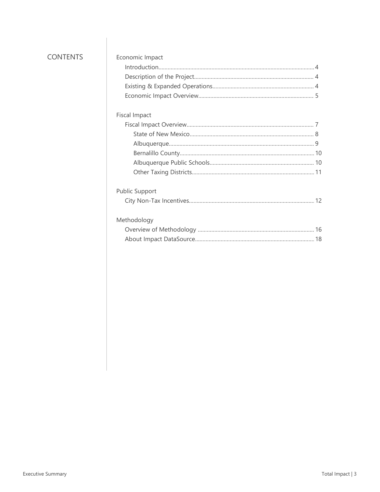## **CONTENTS**

| Economic Impact       |  |
|-----------------------|--|
|                       |  |
|                       |  |
|                       |  |
|                       |  |
| <b>Fiscal Impact</b>  |  |
|                       |  |
|                       |  |
|                       |  |
|                       |  |
|                       |  |
|                       |  |
| <b>Public Support</b> |  |
|                       |  |
| Methodology           |  |
|                       |  |
|                       |  |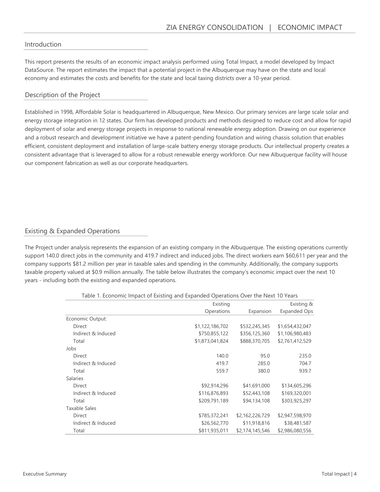#### Introduction

This report presents the results of an economic impact analysis performed using Total Impact, a model developed by Impact DataSource. The report estimates the impact that a potential project in the Albuquerque may have on the state and local economy and estimates the costs and benefits for the state and local taxing districts over a 10-year period.

#### Description of the Project

Established in 1998, Affordable Solar is headquartered in Albuquerque, New Mexico. Our primary services are large scale solar and energy storage integration in 12 states. Our firm has developed products and methods designed to reduce cost and allow for rapid deployment of solar and energy storage projects in response to national renewable energy adoption. Drawing on our experience and a robust research and development initiative we have a patent-pending foundation and wiring chassis solution that enables efficient, consistent deployment and installation of large-scale battery energy storage products. Our intellectual property creates a consistent advantage that is leveraged to allow for a robust renewable energy workforce. Our new Albuquerque facility will house our component fabrication as well as our corporate headquarters.

#### Existing & Expanded Operations

The Project under analysis represents the expansion of an existing company in the Albuquerque. The existing operations currently support 140.0 direct jobs in the community and 419.7 indirect and induced jobs. The direct workers earn \$60,611 per year and the company supports \$81.2 million per year in taxable sales and spending in the community. Additionally, the company supports taxable property valued at \$0.9 million annually. The table below illustrates the company's economic impact over the next 10 years - including both the existing and expanded operations.

|                      | Existing        |                 | Existing &          |
|----------------------|-----------------|-----------------|---------------------|
|                      | Operations      | Expansion       | <b>Expanded Ops</b> |
| Economic Output:     |                 |                 |                     |
| Direct               | \$1,122,186,702 | \$532,245,345   | \$1,654,432,047     |
| Indirect & Induced   | \$750,855,122   | \$356,125,360   | \$1,106,980,483     |
| Total                | \$1,873,041,824 | \$888,370,705   | \$2,761,412,529     |
| Jobs                 |                 |                 |                     |
| <b>Direct</b>        | 140.0           | 95.0            | 235.0               |
| Indirect & Induced   | 419.7           | 285.0           | 704.7               |
| Total                | 559.7           | 380.0           | 939.7               |
| <b>Salaries</b>      |                 |                 |                     |
| Direct               | \$92,914,296    | \$41,691,000    | \$134,605,296       |
| Indirect & Induced   | \$116,876,893   | \$52,443,108    | \$169,320,001       |
| Total                | \$209,791,189   | \$94,134,108    | \$303,925,297       |
| <b>Taxable Sales</b> |                 |                 |                     |
| Direct               | \$785,372,241   | \$2,162,226,729 | \$2,947,598,970     |
| Indirect & Induced   | \$26,562,770    | \$11,918,816    | \$38,481,587        |
| Total                | \$811,935,011   | \$2,174,145,546 | \$2,986,080,556     |

Table 1. Economic Impact of Existing and Expanded Operations Over the Next 10 Years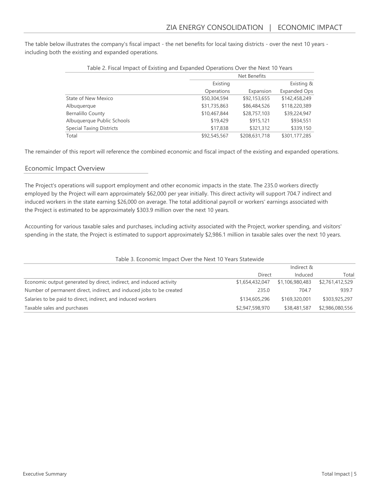The table below illustrates the company's fiscal impact - the net benefits for local taxing districts - over the next 10 years including both the existing and expanded operations.

|                                 |              | Net Benefits  |                     |  |  |
|---------------------------------|--------------|---------------|---------------------|--|--|
|                                 | Existing     |               | Existing &          |  |  |
|                                 | Operations   | Expansion     | <b>Expanded Ops</b> |  |  |
| State of New Mexico             | \$50,304,594 | \$92,153,655  | \$142,458,249       |  |  |
| Albuquerque                     | \$31,735,863 | \$86,484,526  | \$118,220,389       |  |  |
| <b>Bernalillo County</b>        | \$10,467,844 | \$28,757,103  | \$39,224,947        |  |  |
| Albuquerque Public Schools      | \$19,429     | \$915,121     | \$934,551           |  |  |
| <b>Special Taxing Districts</b> | \$17,838     | \$321,312     | \$339,150           |  |  |
| Total                           | \$92,545,567 | \$208,631,718 | \$301,177,285       |  |  |

#### Table 2. Fiscal Impact of Existing and Expanded Operations Over the Next 10 Years

The remainder of this report will reference the combined economic and fiscal impact of the existing and expanded operations.

#### Economic Impact Overview

The Project's operations will support employment and other economic impacts in the state. The 235.0 workers directly employed by the Project will earn approximately \$62,000 per year initially. This direct activity will support 704.7 indirect and induced workers in the state earning \$26,000 on average. The total additional payroll or workers' earnings associated with the Project is estimated to be approximately \$303.9 million over the next 10 years.

Accounting for various taxable sales and purchases, including activity associated with the Project, worker spending, and visitors' spending in the state, the Project is estimated to support approximately \$2,986.1 million in taxable sales over the next 10 years.

| Table 3. Economic Impact Over the Next 10 Years Statewide            |                 |                 |                 |  |  |
|----------------------------------------------------------------------|-----------------|-----------------|-----------------|--|--|
|                                                                      |                 | Indirect &      |                 |  |  |
|                                                                      | Direct          | Induced         | Total           |  |  |
| Economic output generated by direct, indirect, and induced activity  | \$1,654,432,047 | \$1,106,980,483 | \$2,761,412,529 |  |  |
| Number of permanent direct, indirect, and induced jobs to be created | 235.0           | 704.7           | 939.7           |  |  |
| Salaries to be paid to direct, indirect, and induced workers         | \$134,605,296   | \$169,320,001   | \$303,925,297   |  |  |
| Taxable sales and purchases                                          | \$2,947,598,970 | \$38,481,587    | \$2,986,080,556 |  |  |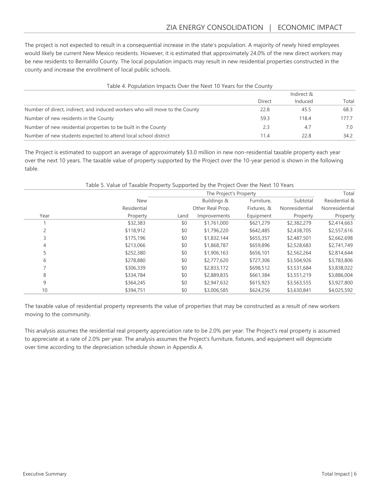The project is not expected to result in a consequential increase in the state's population. A majority of newly hired employees would likely be current New Mexico residents. However, it is estimated that approximately 24.0% of the new direct workers may be new residents to Bernalillo County. The local population impacts may result in new residential properties constructed in the county and increase the enrollment of local public schools.

| Table 4. Population Impacts Over the Next 10 Years for the County           |            |         |       |  |  |
|-----------------------------------------------------------------------------|------------|---------|-------|--|--|
|                                                                             | Indirect & |         |       |  |  |
|                                                                             | Direct     | Induced | Total |  |  |
| Number of direct, indirect, and induced workers who will move to the County | 22.8       | 45.5    | 68.3  |  |  |
| Number of new residents in the County                                       | 59.3       | 118.4   | 1777  |  |  |
| Number of new residential properties to be built in the County              | 2.3        | 4.7     | 7.0   |  |  |
| Number of new students expected to attend local school district             | 11.4       | 22.8    | 34.2  |  |  |

The Project is estimated to support an average of approximately \$3.0 million in new non-residential taxable property each year over the next 10 years. The taxable value of property supported by the Project over the 10-year period is shown in the following table.

|                | Table 5. Value of Taxable Property Supported by the Project Over the Next 10 Years |                        |                  |             |                |                |
|----------------|------------------------------------------------------------------------------------|------------------------|------------------|-------------|----------------|----------------|
|                |                                                                                    | The Project's Property |                  |             |                |                |
|                | <b>New</b>                                                                         |                        | Buildings &      | Furniture,  | Subtotal       | Residential &  |
|                | Residential                                                                        |                        | Other Real Prop. | Fixtures, & | Nonresidential | Nonresidential |
| Year           | Property                                                                           | Land                   | Improvements     | Equipment   | Property       | Property       |
|                | \$32,383                                                                           | \$0                    | \$1,761,000      | \$621,279   | \$2,382,279    | \$2,414,663    |
| $\overline{c}$ | \$118,912                                                                          | \$0                    | \$1,796,220      | \$642,485   | \$2,438,705    | \$2,557,616    |
| 3              | \$175,196                                                                          | \$0                    | \$1,832,144      | \$655,357   | \$2,487,501    | \$2,662,698    |
| 4              | \$213,066                                                                          | \$0                    | \$1,868,787      | \$659,896   | \$2,528,683    | \$2,741,749    |
| 5              | \$252,380                                                                          | \$0                    | \$1,906,163      | \$656,101   | \$2,562,264    | \$2,814,644    |
| 6              | \$278,880                                                                          | \$0                    | \$2,777,620      | \$727,306   | \$3,504,926    | \$3,783,806    |
|                | \$306,339                                                                          | \$0                    | \$2,833,172      | \$698,512   | \$3,531,684    | \$3,838,022    |
| 8              | \$334,784                                                                          | \$0                    | \$2,889,835      | \$661,384   | \$3,551,219    | \$3,886,004    |
| 9              | \$364,245                                                                          | \$0                    | \$2,947,632      | \$615,923   | \$3,563,555    | \$3,927,800    |
| 10             | \$394,751                                                                          | \$0                    | \$3,006,585      | \$624,256   | \$3,630,841    | \$4,025,592    |

The taxable value of residential property represents the value of properties that may be constructed as a result of new workers moving to the community.

This analysis assumes the residential real property appreciation rate to be 2.0% per year. The Project's real property is assumed to appreciate at a rate of 2.0% per year. The analysis assumes the Project's furniture, fixtures, and equipment will depreciate over time according to the depreciation schedule shown in Appendix A.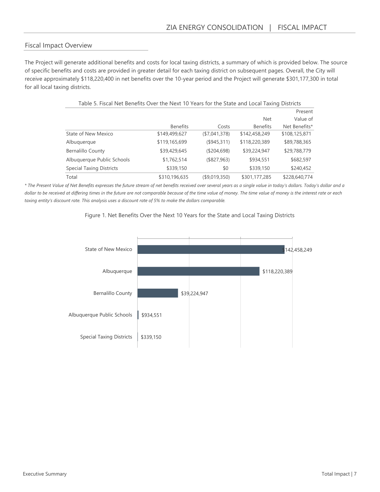#### Fiscal Impact Overview

The Project will generate additional benefits and costs for local taxing districts, a summary of which is provided below. The source of specific benefits and costs are provided in greater detail for each taxing district on subsequent pages. Overall, the City will receive approximately \$118,220,400 in net benefits over the 10-year period and the Project will generate \$301,177,300 in total for all local taxing districts.

| Value of<br><b>Net</b><br><b>Benefits</b><br><b>Benefits</b><br>Net Benefits*<br>Costs<br>State of New Mexico<br>\$149,499,627<br>(\$7,041,378)<br>\$142,458,249<br>\$108,125,871<br>\$119,165,699<br>(\$945,311)<br>\$89,788,365<br>Albuquerque<br>\$118,220,389<br>\$39,429,645<br><b>Bernalillo County</b><br>(\$204,698)<br>\$39,224,947<br>\$29,788,779<br>\$1,762,514<br>Albuquerque Public Schools<br>(\$827,963)<br>\$934,551<br>\$682,597<br><b>Special Taxing Districts</b><br>\$339,150<br>\$339,150<br>\$240,452<br>\$0<br>\$310,196,635<br>(\$9,019,350)<br>\$301,177,285<br>\$228,640,774<br>Total<br>e of Net Benefits expresses the future stream of net benefits received over several years as a single value in today's dollars. Today's dollar and a<br>d at differing times in the future are not comparable because of the time value of money. The time value of money is the interest rate or each |
|----------------------------------------------------------------------------------------------------------------------------------------------------------------------------------------------------------------------------------------------------------------------------------------------------------------------------------------------------------------------------------------------------------------------------------------------------------------------------------------------------------------------------------------------------------------------------------------------------------------------------------------------------------------------------------------------------------------------------------------------------------------------------------------------------------------------------------------------------------------------------------------------------------------------------|
|                                                                                                                                                                                                                                                                                                                                                                                                                                                                                                                                                                                                                                                                                                                                                                                                                                                                                                                            |
|                                                                                                                                                                                                                                                                                                                                                                                                                                                                                                                                                                                                                                                                                                                                                                                                                                                                                                                            |
|                                                                                                                                                                                                                                                                                                                                                                                                                                                                                                                                                                                                                                                                                                                                                                                                                                                                                                                            |
|                                                                                                                                                                                                                                                                                                                                                                                                                                                                                                                                                                                                                                                                                                                                                                                                                                                                                                                            |
|                                                                                                                                                                                                                                                                                                                                                                                                                                                                                                                                                                                                                                                                                                                                                                                                                                                                                                                            |
|                                                                                                                                                                                                                                                                                                                                                                                                                                                                                                                                                                                                                                                                                                                                                                                                                                                                                                                            |
|                                                                                                                                                                                                                                                                                                                                                                                                                                                                                                                                                                                                                                                                                                                                                                                                                                                                                                                            |
|                                                                                                                                                                                                                                                                                                                                                                                                                                                                                                                                                                                                                                                                                                                                                                                                                                                                                                                            |
| ount rate. This analysis uses a discount rate of 5% to make the dollars comparable.<br>Figure 1. Net Benefits Over the Next 10 Years for the State and Local Taxing Districts                                                                                                                                                                                                                                                                                                                                                                                                                                                                                                                                                                                                                                                                                                                                              |

\* The Present Value of Net Benefits expresses the future stream of net benefits received over several years as a single value in today's dollars. Today's dollar and a dollar to be received at differing times in the future are not comparable because of the time value of money. The time value of money is the interest rate or each taxing entity's discount rate. This analysis uses a discount rate of 5% to make the dollars comparable.



#### Figure 1. Net Benefits Over the Next 10 Years for the State and Local Taxing Districts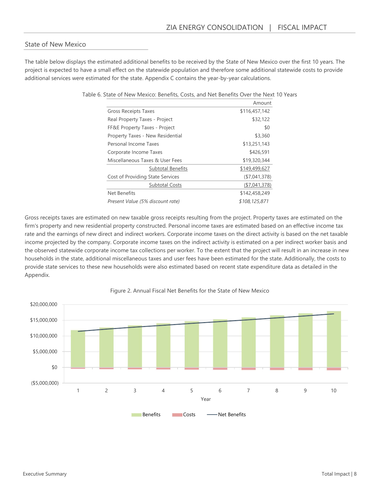#### State of New Mexico

The table below displays the estimated additional benefits to be received by the State of New Mexico over the first 10 years. The project is expected to have a small effect on the statewide population and therefore some additional statewide costs to provide additional services were estimated for the state. Appendix C contains the year-by-year calculations.

|                                  | Amount         |
|----------------------------------|----------------|
| <b>Gross Receipts Taxes</b>      | \$116,457,142  |
| Real Property Taxes - Project    | \$32,122       |
| FF&E Property Taxes - Project    | \$0            |
| Property Taxes - New Residential | \$3,360        |
| Personal Income Taxes            | \$13,251,143   |
| Corporate Income Taxes           | \$426,591      |
| Miscellaneous Taxes & User Fees  | \$19,320,344   |
| <b>Subtotal Benefits</b>         | \$149,499,627  |
| Cost of Providing State Services | ( \$7,041,378) |
| <b>Subtotal Costs</b>            | (\$7,041,378)  |
| Net Benefits                     | \$142,458,249  |
| Present Value (5% discount rate) | \$108,125,871  |

Table 6. State of New Mexico: Benefits, Costs, and Net Benefits Over the Next 10 Years

Gross receipts taxes are estimated on new taxable gross receipts resulting from the project. Property taxes are estimated on the firm's property and new residential property constructed. Personal income taxes are estimated based on an effective income tax rate and the earnings of new direct and indirect workers. Corporate income taxes on the direct activity is based on the net taxable income projected by the company. Corporate income taxes on the indirect activity is estimated on a per indirect worker basis and the observed statewide corporate income tax collections per worker. To the extent that the project will result in an increase in new households in the state, additional miscellaneous taxes and user fees have been estimated for the state. Additionally, the costs to provide state services to these new households were also estimated based on recent state expenditure data as detailed in the Appendix.



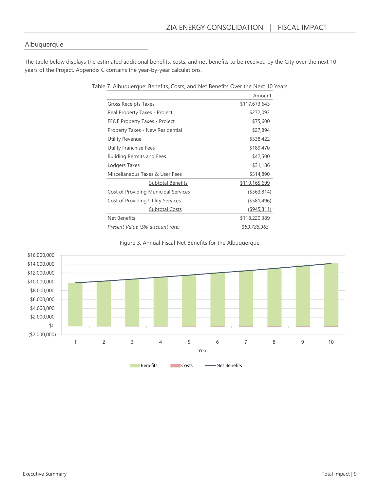#### Albuquerque

The table below displays the estimated additional benefits, costs, and net benefits to be received by the City over the next 10 years of the Project. Appendix C contains the year-by-year calculations.

|                                      | Amount         |
|--------------------------------------|----------------|
| <b>Gross Receipts Taxes</b>          | \$117,673,643  |
| Real Property Taxes - Project        | \$272,093      |
| FF&E Property Taxes - Project        | \$75,600       |
| Property Taxes - New Residential     | \$27,894       |
| Utility Revenue                      | \$538,422      |
| Utility Franchise Fees               | \$189,470      |
| <b>Building Permits and Fees</b>     | \$42,500       |
| Lodgers Taxes                        | \$31,186       |
| Miscellaneous Taxes & User Fees      | \$314,890      |
| <b>Subtotal Benefits</b>             | \$119,165,699  |
| Cost of Providing Municipal Services | (\$363,814)    |
| Cost of Providing Utility Services   | $($ \$581,496) |
| <b>Subtotal Costs</b>                | (\$945,311)    |
| Net Benefits                         | \$118,220,389  |
| Present Value (5% discount rate)     | \$89,788,365   |

# Figure 3. Annual Fiscal Net Benefits for the Albuquerque



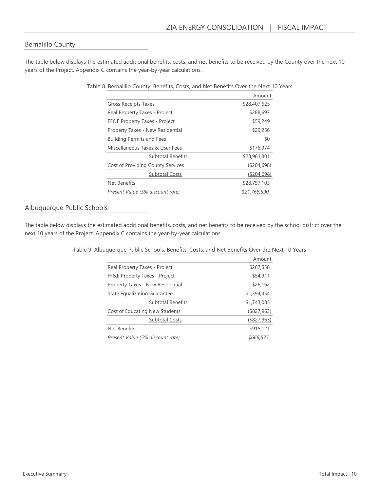#### Bernalillo County

The table below displays the estimated additional benefits, costs, and net benefits to be received by the County over the next 10 years of the Project. Appendix C contains the year-by-year calculations.

|                                   | Amount        |
|-----------------------------------|---------------|
| <b>Gross Receipts Taxes</b>       | \$28,407,625  |
| Real Property Taxes - Project     | \$288,697     |
| FF&E Property Taxes - Project     | \$59,249      |
| Property Taxes - New Residential  | \$29,256      |
| <b>Building Permits and Fees</b>  | \$0           |
| Miscellaneous Taxes & User Fees   | \$176,974     |
| <b>Subtotal Benefits</b>          | \$28,961,801  |
| Cost of Providing County Services | ( \$204, 698) |
| <b>Subtotal Costs</b>             | ( \$204, 698) |
| Net Benefits                      | \$28,757,103  |
| Present Value (5% discount rate)  | \$21,768,590  |

Table 8. Bernalillo County: Benefits, Costs, and Net Benefits Over the Next 10 Years

#### Albuquerque Public Schools

The table below displays the estimated additional benefits, costs, and net benefits to be received by the school district over the next 10 years of the Project. Appendix C contains the year-by-year calculations.

|                                     | Amount         |
|-------------------------------------|----------------|
| Real Property Taxes - Project       | \$267,558      |
| FF&E Property Taxes - Project       | \$54,911       |
| Property Taxes - New Residential    | \$26,162       |
| <b>State Equalization Guarantee</b> | \$1,394,454    |
| <b>Subtotal Benefits</b>            | \$1,743,085    |
| Cost of Educating New Students      | $($ \$827,963) |
| <b>Subtotal Costs</b>               | (\$827,963)    |
| Net Benefits                        | \$915,121      |
| Present Value (5% discount rate)    | \$666,575      |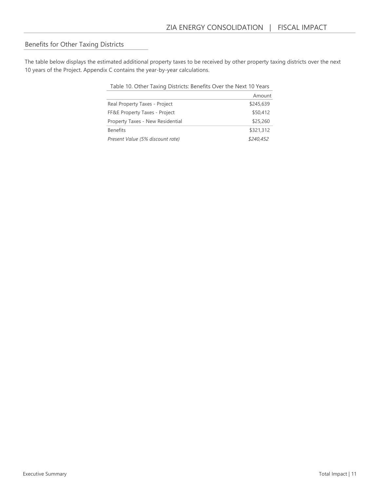## Benefits for Other Taxing Districts

The table below displays the estimated additional property taxes to be received by other property taxing districts over the next 10 years of the Project. Appendix C contains the year-by-year calculations.

| Table 10. Other Taxing Districts: Benefits Over the Next 10 Years |           |
|-------------------------------------------------------------------|-----------|
|                                                                   | Amount    |
| Real Property Taxes - Project                                     | \$245,639 |
| FF&E Property Taxes - Project                                     | \$50,412  |
| Property Taxes - New Residential                                  | \$25,260  |
| <b>Benefits</b>                                                   | \$321,312 |
| Present Value (5% discount rate)                                  | \$240,452 |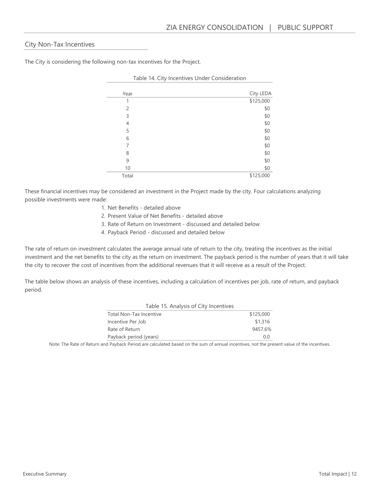#### City Non-Tax Incentives

The City is considering the following non-tax incentives for the Project.

| Year           | City LEDA |
|----------------|-----------|
| 1              | \$125,000 |
| $\overline{2}$ | \$0       |
| 3              | \$0       |
| 4              | \$0       |
| 5              | \$0       |
| 6              | \$0       |
| 7              | \$0       |
| 8              | \$0       |
| 9              | \$0       |
| 10             | \$0       |
| Total          | \$125,000 |

Table 14. City Incentives Under Consideration

These financial incentives may be considered an investment in the Project made by the city. Four calculations analyzing possible investments were made:

- 1. Net Benefits detailed above
- 2. Present Value of Net Benefits detailed above
- 3. Rate of Return on Investment discussed and detailed below
- 4. Payback Period discussed and detailed below

The rate of return on investment calculates the average annual rate of return to the city, treating the incentives as the initial investment and the net benefits to the city as the return on investment. The payback period is the number of years that it will take the city to recover the cost of incentives from the additional revenues that it will receive as a result of the Project.

The table below shows an analysis of these incentives, including a calculation of incentives per job, rate of return, and payback period.

| Table 15. Analysis of City Incentives |           |
|---------------------------------------|-----------|
| <b>Total Non-Tax Incentive</b>        | \$125,000 |
| Incentive Per Job                     | \$1,316   |
| Rate of Return                        | 9457.6%   |
| Payback period (years)                | 0.0       |

Note: The Rate of Return and Payback Period are calculated based on the sum of annual incentives, not the present value of the incentives.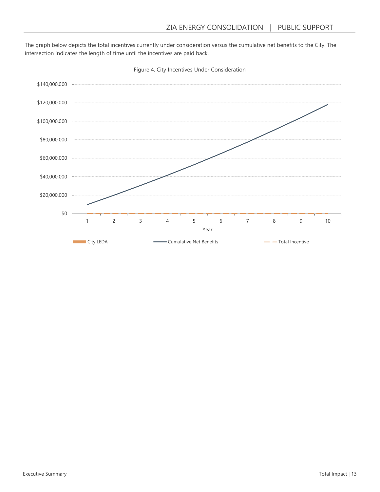The graph below depicts the total incentives currently under consideration versus the cumulative net benefits to the City. The intersection indicates the length of time until the incentives are paid back.



Figure 4. City Incentives Under Consideration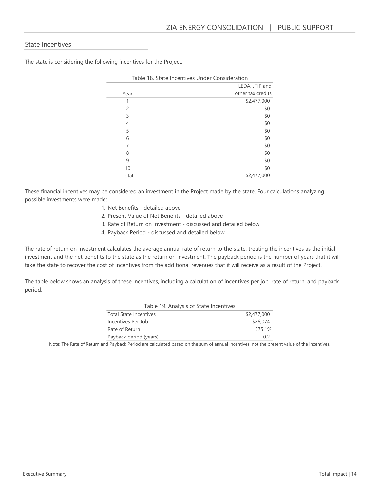#### State Incentives

The state is considering the following incentives for the Project.

|       | Table 18. State Incentives Under Consideration |
|-------|------------------------------------------------|
|       | LEDA, JTIP and                                 |
| Year  | other tax credits                              |
| 1     | \$2,477,000                                    |
| 2     | \$0                                            |
| 3     | \$0                                            |
| 4     | \$0                                            |
| 5     | \$0                                            |
| 6     | \$0                                            |
| 7     | \$0                                            |
| 8     | \$0                                            |
| 9     | \$0                                            |
| 10    | \$0                                            |
| Total | \$2,477,000                                    |

These financial incentives may be considered an investment in the Project made by the state. Four calculations analyzing

possible investments were made:

- 1. Net Benefits detailed above
- 2. Present Value of Net Benefits detailed above
- 3. Rate of Return on Investment discussed and detailed below
- 4. Payback Period discussed and detailed below

The rate of return on investment calculates the average annual rate of return to the state, treating the incentives as the initial investment and the net benefits to the state as the return on investment. The payback period is the number of years that it will take the state to recover the cost of incentives from the additional revenues that it will receive as a result of the Project.

The table below shows an analysis of these incentives, including a calculation of incentives per job, rate of return, and payback period.

| Table 19. Analysis of State Incentives |             |
|----------------------------------------|-------------|
| <b>Total State Incentives</b>          | \$2,477,000 |
| Incentives Per Job                     | \$26,074    |
| Rate of Return                         | 575.1%      |
| Payback period (years)                 | 02          |

Note: The Rate of Return and Payback Period are calculated based on the sum of annual incentives, not the present value of the incentives.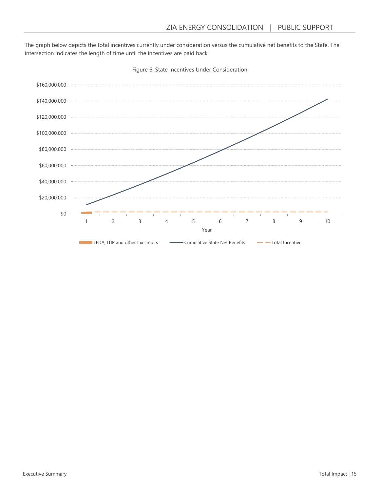The graph below depicts the total incentives currently under consideration versus the cumulative net benefits to the State. The intersection indicates the length of time until the incentives are paid back.



Figure 6. State Incentives Under Consideration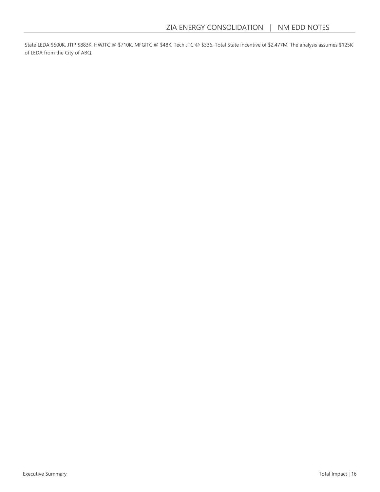State LEDA \$500K, JTIP \$883K, HWJTC @ \$710K, MFGITC @ \$48K, Tech JTC @ \$336. Total State incentive of \$2.477M, The analysis assumes \$125K of LEDA from the City of ABQ.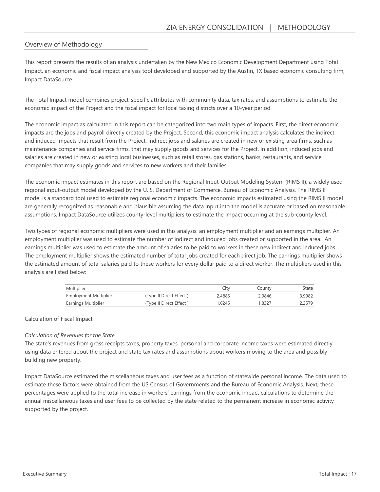#### Overview of Methodology

This report presents the results of an analysis undertaken by the New Mexico Economic Development Department using Total Impact, an economic and fiscal impact analysis tool developed and supported by the Austin, TX based economic consulting firm, Impact DataSource.

The Total Impact model combines project-specific attributes with community data, tax rates, and assumptions to estimate the economic impact of the Project and the fiscal impact for local taxing districts over a 10-year period.

The economic impact as calculated in this report can be categorized into two main types of impacts. First, the direct economic impacts are the jobs and payroll directly created by the Project. Second, this economic impact analysis calculates the indirect and induced impacts that result from the Project. Indirect jobs and salaries are created in new or existing area firms, such as maintenance companies and service firms, that may supply goods and services for the Project. In addition, induced jobs and salaries are created in new or existing local businesses, such as retail stores, gas stations, banks, restaurants, and service companies that may supply goods and services to new workers and their families.

The economic impact estimates in this report are based on the Regional Input-Output Modeling System (RIMS II), a widely used regional input-output model developed by the U. S. Department of Commerce, Bureau of Economic Analysis. The RIMS II model is a standard tool used to estimate regional economic impacts. The economic impacts estimated using the RIMS II model are generally recognized as reasonable and plausible assuming the data input into the model is accurate or based on reasonable assumptions. Impact DataSource utilizes county-level multipliers to estimate the impact occurring at the sub-county level.

Two types of regional economic multipliers were used in this analysis: an employment multiplier and an earnings multiplier. An employment multiplier was used to estimate the number of indirect and induced jobs created or supported in the area. An earnings multiplier was used to estimate the amount of salaries to be paid to workers in these new indirect and induced jobs. The employment multiplier shows the estimated number of total jobs created for each direct job. The earnings multiplier shows the estimated amount of total salaries paid to these workers for every dollar paid to a direct worker. The multipliers used in this analysis are listed below:

| Multiplier            |                         | City   | County | State  |
|-----------------------|-------------------------|--------|--------|--------|
| Employment Multiplier | (Type II Direct Effect) | 2.4885 | 2.9846 | 3.9982 |
| Earnings Multiplier   | (Type II Direct Effect) | 1.6245 | 1.8327 | 2.2579 |

#### Calculation of Fiscal Impact

#### Calculation of Revenues for the State

The state's revenues from gross receipts taxes, property taxes, personal and corporate income taxes were estimated directly using data entered about the project and state tax rates and assumptions about workers moving to the area and possibly building new property.

Impact DataSource estimated the miscellaneous taxes and user fees as a function of statewide personal income. The data used to estimate these factors were obtained from the US Census of Governments and the Bureau of Economic Analysis. Next, these percentages were applied to the total increase in workers' earnings from the economic impact calculations to determine the annual miscellaneous taxes and user fees to be collected by the state related to the permanent increase in economic activity supported by the project.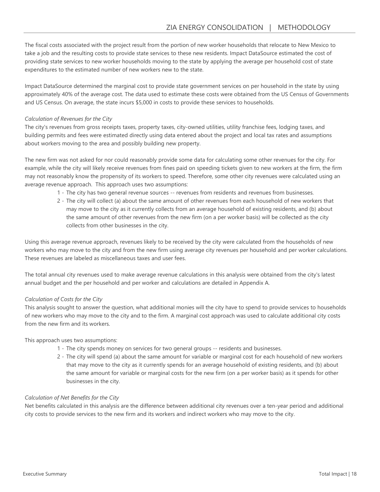The fiscal costs associated with the project result from the portion of new worker households that relocate to New Mexico to take a job and the resulting costs to provide state services to these new residents. Impact DataSource estimated the cost of providing state services to new worker households moving to the state by applying the average per household cost of state expenditures to the estimated number of new workers new to the state.

Impact DataSource determined the marginal cost to provide state government services on per household in the state by using approximately 40% of the average cost. The data used to estimate these costs were obtained from the US Census of Governments and US Census. On average, the state incurs \$5,000 in costs to provide these services to households.

#### Calculation of Revenues for the City

The city's revenues from gross receipts taxes, property taxes, city-owned utilities, utility franchise fees, lodging taxes, and building permits and fees were estimated directly using data entered about the project and local tax rates and assumptions about workers moving to the area and possibly building new property.

The new firm was not asked for nor could reasonably provide some data for calculating some other revenues for the city. For example, while the city will likely receive revenues from fines paid on speeding tickets given to new workers at the firm, the firm may not reasonably know the propensity of its workers to speed. Therefore, some other city revenues were calculated using an average revenue approach. This approach uses two assumptions:

- 1 The city has two general revenue sources -- revenues from residents and revenues from businesses.
- 2 The city will collect (a) about the same amount of other revenues from each household of new workers that may move to the city as it currently collects from an average household of existing residents, and (b) about the same amount of other revenues from the new firm (on a per worker basis) will be collected as the city collects from other businesses in the city.

Using this average revenue approach, revenues likely to be received by the city were calculated from the households of new workers who may move to the city and from the new firm using average city revenues per household and per worker calculations. These revenues are labeled as miscellaneous taxes and user fees.

The total annual city revenues used to make average revenue calculations in this analysis were obtained from the city's latest annual budget and the per household and per worker and calculations are detailed in Appendix A.

#### Calculation of Costs for the City

This analysis sought to answer the question, what additional monies will the city have to spend to provide services to households of new workers who may move to the city and to the firm. A marginal cost approach was used to calculate additional city costs from the new firm and its workers.

This approach uses two assumptions:

- 1 The city spends money on services for two general groups -- residents and businesses.
- 2 The city will spend (a) about the same amount for variable or marginal cost for each household of new workers that may move to the city as it currently spends for an average household of existing residents, and (b) about the same amount for variable or marginal costs for the new firm (on a per worker basis) as it spends for other businesses in the city.

#### Calculation of Net Benefits for the City

Net benefits calculated in this analysis are the difference between additional city revenues over a ten-year period and additional city costs to provide services to the new firm and its workers and indirect workers who may move to the city.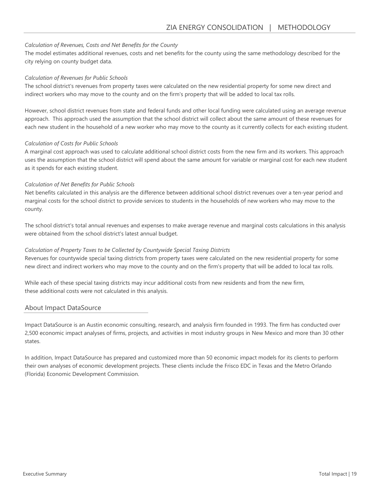#### Calculation of Revenues, Costs and Net Benefits for the County

The model estimates additional revenues, costs and net benefits for the county using the same methodology described for the city relying on county budget data.

#### Calculation of Revenues for Public Schools

The school district's revenues from property taxes were calculated on the new residential property for some new direct and indirect workers who may move to the county and on the firm's property that will be added to local tax rolls.

However, school district revenues from state and federal funds and other local funding were calculated using an average revenue approach. This approach used the assumption that the school district will collect about the same amount of these revenues for each new student in the household of a new worker who may move to the county as it currently collects for each existing student.

#### Calculation of Costs for Public Schools

A marginal cost approach was used to calculate additional school district costs from the new firm and its workers. This approach uses the assumption that the school district will spend about the same amount for variable or marginal cost for each new student as it spends for each existing student.

#### Calculation of Net Benefits for Public Schools

Net benefits calculated in this analysis are the difference between additional school district revenues over a ten-year period and marginal costs for the school district to provide services to students in the households of new workers who may move to the county.

The school district's total annual revenues and expenses to make average revenue and marginal costs calculations in this analysis were obtained from the school district's latest annual budget.

#### Calculation of Property Taxes to be Collected by Countywide Special Taxing Districts

Revenues for countywide special taxing districts from property taxes were calculated on the new residential property for some new direct and indirect workers who may move to the county and on the firm's property that will be added to local tax rolls.

While each of these special taxing districts may incur additional costs from new residents and from the new firm, these additional costs were not calculated in this analysis.

#### About Impact DataSource

Impact DataSource is an Austin economic consulting, research, and analysis firm founded in 1993. The firm has conducted over 2,500 economic impact analyses of firms, projects, and activities in most industry groups in New Mexico and more than 30 other states.

In addition, Impact DataSource has prepared and customized more than 50 economic impact models for its clients to perform their own analyses of economic development projects. These clients include the Frisco EDC in Texas and the Metro Orlando (Florida) Economic Development Commission.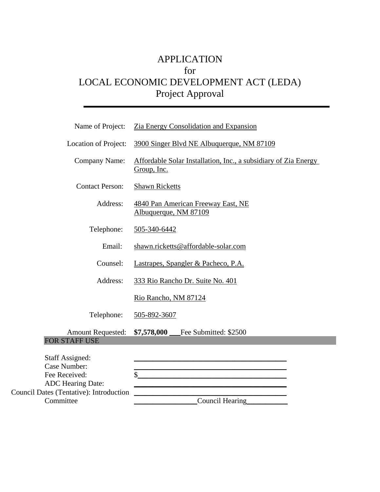# APPLICATION for LOCAL ECONOMIC DEVELOPMENT ACT (LEDA) Project Approval

| Name of Project:                                                             | Zia Energy Consolidation and Expansion                                                                                     |
|------------------------------------------------------------------------------|----------------------------------------------------------------------------------------------------------------------------|
| Location of Project:                                                         | 3900 Singer Blvd NE Albuquerque, NM 87109                                                                                  |
| <b>Company Name:</b>                                                         | Affordable Solar Installation, Inc., a subsidiary of Zia Energy<br>Group, Inc.                                             |
| <b>Contact Person:</b>                                                       | <b>Shawn Ricketts</b>                                                                                                      |
| Address:                                                                     | 4840 Pan American Freeway East, NE<br>Albuquerque, NM 87109                                                                |
| Telephone:                                                                   | 505-340-6442                                                                                                               |
| Email:                                                                       | shawn.ricketts@affordable-solar.com                                                                                        |
| Counsel:                                                                     | Lastrapes, Spangler & Pacheco, P.A.                                                                                        |
| Address:                                                                     | 333 Rio Rancho Dr. Suite No. 401                                                                                           |
|                                                                              | Rio Rancho, NM 87124                                                                                                       |
| Telephone:                                                                   | 505-892-3607                                                                                                               |
| <b>Amount Requested:</b>                                                     | \$7,578,000 Fee Submitted: \$2500                                                                                          |
| <b>FOR STAFF USE</b>                                                         |                                                                                                                            |
| <b>Staff Assigned:</b><br>Case Number:<br>Fee Received:<br>ADC Hearing Date: | <u> 1989 - Johann John Stone, markin biskup og det blev til store og en store og en som som som en som som som s</u><br>\$ |
| <b>Council Dates (Tentative): Introduction</b>                               |                                                                                                                            |
| Committee                                                                    | Council Hearing                                                                                                            |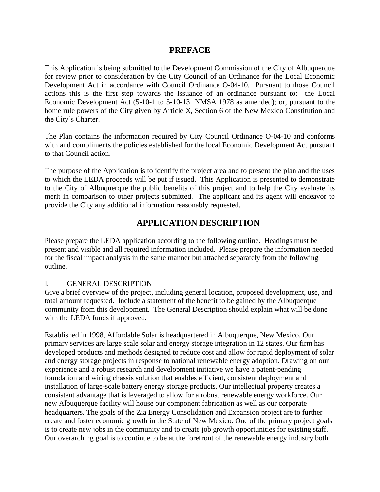## **PREFACE**

This Application is being submitted to the Development Commission of the City of Albuquerque for review prior to consideration by the City Council of an Ordinance for the Local Economic Development Act in accordance with Council Ordinance O-04-10. Pursuant to those Council actions this is the first step towards the issuance of an ordinance pursuant to: the Local Economic Development Act (5-10-1 to 5-10-13 NMSA 1978 as amended); or, pursuant to the home rule powers of the City given by Article X, Section 6 of the New Mexico Constitution and the City's Charter.

The Plan contains the information required by City Council Ordinance O-04-10 and conforms with and compliments the policies established for the local Economic Development Act pursuant to that Council action.

The purpose of the Application is to identify the project area and to present the plan and the uses to which the LEDA proceeds will be put if issued. This Application is presented to demonstrate to the City of Albuquerque the public benefits of this project and to help the City evaluate its merit in comparison to other projects submitted. The applicant and its agent will endeavor to provide the City any additional information reasonably requested.

# **APPLICATION DESCRIPTION**

Please prepare the LEDA application according to the following outline. Headings must be present and visible and all required information included. Please prepare the information needed for the fiscal impact analysis in the same manner but attached separately from the following outline.

## **GENERAL DESCRIPTION**

Give a brief overview of the project, including general location, proposed development, use, and total amount requested. Include a statement of the benefit to be gained by the Albuquerque community from this development. The General Description should explain what will be done with the LEDA funds if approved.

Established in 1998, Affordable Solar is headquartered in Albuquerque, New Mexico. Our primary services are large scale solar and energy storage integration in 12 states. Our firm has developed products and methods designed to reduce cost and allow for rapid deployment of solar and energy storage projects in response to national renewable energy adoption. Drawing on our experience and a robust research and development initiative we have a patent-pending foundation and wiring chassis solution that enables efficient, consistent deployment and installation of large-scale battery energy storage products. Our intellectual property creates a consistent advantage that is leveraged to allow for a robust renewable energy workforce. Our new Albuquerque facility will house our component fabrication as well as our corporate headquarters. The goals of the Zia Energy Consolidation and Expansion project are to further create and foster economic growth in the State of New Mexico. One of the primary project goals is to create new jobs in the community and to create job growth opportunities for existing staff. Our overarching goal is to continue to be at the forefront of the renewable energy industry both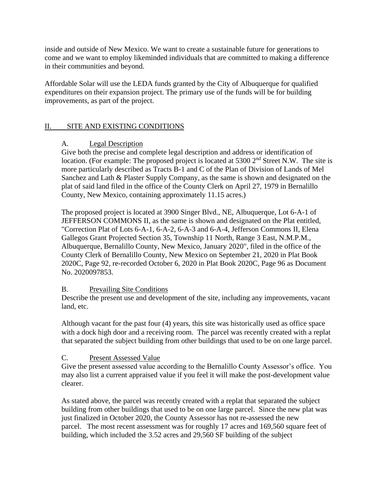inside and outside of New Mexico. We want to create a sustainable future for generations to come and we want to employ likeminded individuals that are committed to making a difference in their communities and beyond.

Affordable Solar will use the LEDA funds granted by the City of Albuquerque for qualified expenditures on their expansion project. The primary use of the funds will be for building improvements, as part of the project.

## II. SITE AND EXISTING CONDITIONS

## A. Legal Description

Give both the precise and complete legal description and address or identification of location. (For example: The proposed project is located at 5300 2<sup>nd</sup> Street N.W. The site is more particularly described as Tracts B-1 and C of the Plan of Division of Lands of Mel Sanchez and Lath & Plaster Supply Company, as the same is shown and designated on the plat of said land filed in the office of the County Clerk on April 27, 1979 in Bernalillo County, New Mexico, containing approximately 11.15 acres.)

The proposed project is located at 3900 Singer Blvd., NE, Albuquerque, Lot 6-A-1 of JEFFERSON COMMONS II, as the same is shown and designated on the Plat entitled, "Correction Plat of Lots 6-A-1, 6-A-2, 6-A-3 and 6-A-4, Jefferson Commons II, Elena Gallegos Grant Projected Section 35, Township 11 North, Range 3 East, N.M.P.M., Albuquerque, Bernalillo County, New Mexico, January 2020", filed in the office of the County Clerk of Bernalillo County, New Mexico on September 21, 2020 in Plat Book 2020C, Page 92, re-recorded October 6, 2020 in Plat Book 2020C, Page 96 as Document No. 2020097853.

## B. Prevailing Site Conditions

Describe the present use and development of the site, including any improvements, vacant land, etc.

Although vacant for the past four (4) years, this site was historically used as office space with a dock high door and a receiving room. The parcel was recently created with a replat that separated the subject building from other buildings that used to be on one large parcel.

## C. Present Assessed Value

Give the present assessed value according to the Bernalillo County Assessor's office. You may also list a current appraised value if you feel it will make the post-development value clearer.

As stated above, the parcel was recently created with a replat that separated the subject building from other buildings that used to be on one large parcel. Since the new plat was just finalized in October 2020, the County Assessor has not re-assessed the new parcel. The most recent assessment was for roughly 17 acres and 169,560 square feet of building, which included the 3.52 acres and 29,560 SF building of the subject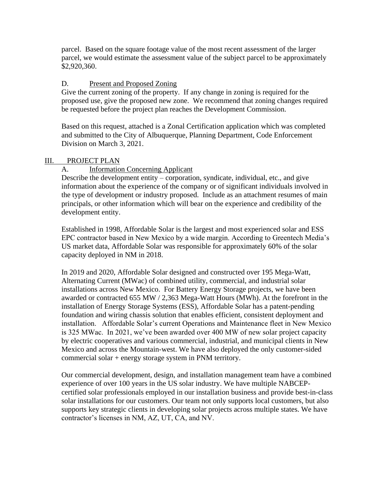parcel. Based on the square footage value of the most recent assessment of the larger parcel, we would estimate the assessment value of the subject parcel to be approximately \$2,920,360.

## D. Present and Proposed Zoning

Give the current zoning of the property. If any change in zoning is required for the proposed use, give the proposed new zone. We recommend that zoning changes required be requested before the project plan reaches the Development Commission.

Based on this request, attached is a Zonal Certification application which was completed and submitted to the City of Albuquerque, Planning Department, Code Enforcement Division on March 3, 2021.

## III. PROJECT PLAN

## A. Information Concerning Applicant

Describe the development entity – corporation, syndicate, individual, etc., and give information about the experience of the company or of significant individuals involved in the type of development or industry proposed. Include as an attachment resumes of main principals, or other information which will bear on the experience and credibility of the development entity.

Established in 1998, Affordable Solar is the largest and most experienced solar and ESS EPC contractor based in New Mexico by a wide margin. According to Greentech Media's US market data, Affordable Solar was responsible for approximately 60% of the solar capacity deployed in NM in 2018.

In 2019 and 2020, Affordable Solar designed and constructed over 195 Mega-Watt, Alternating Current (MWac) of combined utility, commercial, and industrial solar installations across New Mexico. For Battery Energy Storage projects, we have been awarded or contracted 655 MW / 2,363 Mega-Watt Hours (MWh). At the forefront in the installation of Energy Storage Systems (ESS), Affordable Solar has a patent-pending foundation and wiring chassis solution that enables efficient, consistent deployment and installation. Affordable Solar's current Operations and Maintenance fleet in New Mexico is 325 MWac. In 2021, we've been awarded over 400 MW of new solar project capacity by electric cooperatives and various commercial, industrial, and municipal clients in New Mexico and across the Mountain-west. We have also deployed the only customer-sided commercial solar + energy storage system in PNM territory.

Our commercial development, design, and installation management team have a combined experience of over 100 years in the US solar industry. We have multiple NABCEPcertified solar professionals employed in our installation business and provide best-in-class solar installations for our customers. Our team not only supports local customers, but also supports key strategic clients in developing solar projects across multiple states. We have contractor's licenses in NM, AZ, UT, CA, and NV.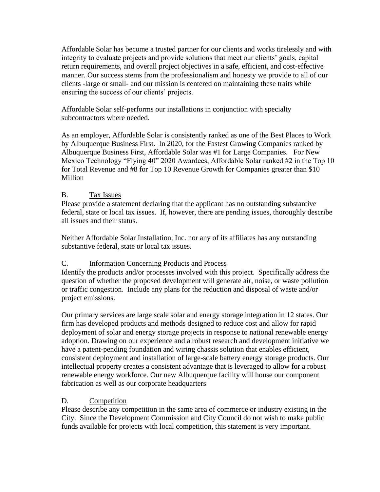Affordable Solar has become a trusted partner for our clients and works tirelessly and with integrity to evaluate projects and provide solutions that meet our clients' goals, capital return requirements, and overall project objectives in a safe, efficient, and cost-effective manner. Our success stems from the professionalism and honesty we provide to all of our clients -large or small- and our mission is centered on maintaining these traits while ensuring the success of our clients' projects.

Affordable Solar self-performs our installations in conjunction with specialty subcontractors where needed.

As an employer, Affordable Solar is consistently ranked as one of the Best Places to Work by Albuquerque Business First. In 2020, for the Fastest Growing Companies ranked by Albuquerque Business First, Affordable Solar was #1 for Large Companies. For New Mexico Technology "Flying 40" 2020 Awardees, Affordable Solar ranked #2 in the Top 10 for Total Revenue and #8 for Top 10 Revenue Growth for Companies greater than \$10 Million

## B. Tax Issues

Please provide a statement declaring that the applicant has no outstanding substantive federal, state or local tax issues. If, however, there are pending issues, thoroughly describe all issues and their status.

Neither Affordable Solar Installation, Inc. nor any of its affiliates has any outstanding substantive federal, state or local tax issues.

## C. Information Concerning Products and Process

Identify the products and/or processes involved with this project. Specifically address the question of whether the proposed development will generate air, noise, or waste pollution or traffic congestion. Include any plans for the reduction and disposal of waste and/or project emissions.

Our primary services are large scale solar and energy storage integration in 12 states. Our firm has developed products and methods designed to reduce cost and allow for rapid deployment of solar and energy storage projects in response to national renewable energy adoption. Drawing on our experience and a robust research and development initiative we have a patent-pending foundation and wiring chassis solution that enables efficient, consistent deployment and installation of large-scale battery energy storage products. Our intellectual property creates a consistent advantage that is leveraged to allow for a robust renewable energy workforce. Our new Albuquerque facility will house our component fabrication as well as our corporate headquarters

## D. Competition

Please describe any competition in the same area of commerce or industry existing in the City. Since the Development Commission and City Council do not wish to make public funds available for projects with local competition, this statement is very important.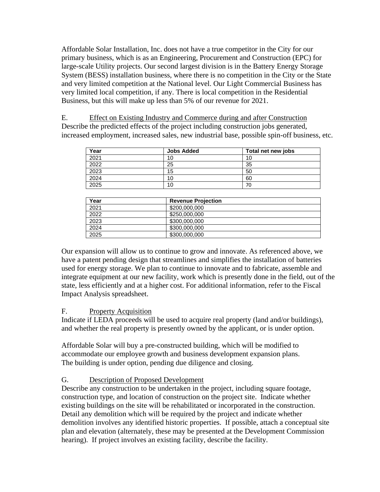Affordable Solar Installation, Inc. does not have a true competitor in the City for our primary business, which is as an Engineering, Procurement and Construction (EPC) for large-scale Utility projects. Our second largest division is in the Battery Energy Storage System (BESS) installation business, where there is no competition in the City or the State and very limited competition at the National level. Our Light Commercial Business has very limited local competition, if any. There is local competition in the Residential Business, but this will make up less than 5% of our revenue for 2021.

E. Effect on Existing Industry and Commerce during and after Construction Describe the predicted effects of the project including construction jobs generated, increased employment, increased sales, new industrial base, possible spin-off business, etc.

| Year | <b>Jobs Added</b> | Total net new jobs |
|------|-------------------|--------------------|
| 2021 | 10                | 10                 |
| 2022 | 25                | 35                 |
| 2023 | 15                | 50                 |
| 2024 | 10                | 60                 |
| 2025 | 10                | 70                 |

| Year | <b>Revenue Projection</b> |  |
|------|---------------------------|--|
| 2021 | \$200,000,000             |  |
| 2022 | \$250,000,000             |  |
| 2023 | \$300,000,000             |  |
| 2024 | \$300,000,000             |  |
| 2025 | \$300,000,000             |  |

Our expansion will allow us to continue to grow and innovate. As referenced above, we have a patent pending design that streamlines and simplifies the installation of batteries used for energy storage. We plan to continue to innovate and to fabricate, assemble and integrate equipment at our new facility, work which is presently done in the field, out of the state, less efficiently and at a higher cost. For additional information, refer to the Fiscal Impact Analysis spreadsheet.

## F. Property Acquisition

Indicate if LEDA proceeds will be used to acquire real property (land and/or buildings), and whether the real property is presently owned by the applicant, or is under option.

Affordable Solar will buy a pre-constructed building, which will be modified to accommodate our employee growth and business development expansion plans. The building is under option, pending due diligence and closing.

## G. Description of Proposed Development

Describe any construction to be undertaken in the project, including square footage, construction type, and location of construction on the project site. Indicate whether existing buildings on the site will be rehabilitated or incorporated in the construction. Detail any demolition which will be required by the project and indicate whether demolition involves any identified historic properties. If possible, attach a conceptual site plan and elevation (alternately, these may be presented at the Development Commission hearing). If project involves an existing facility, describe the facility.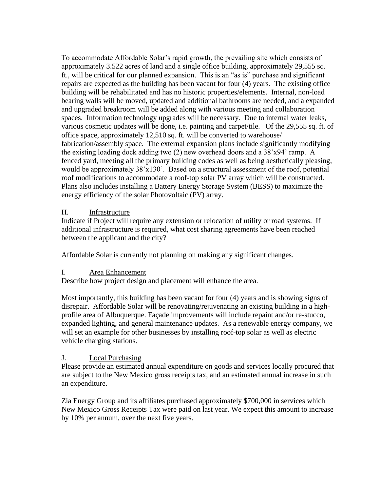To accommodate Affordable Solar's rapid growth, the prevailing site which consists of approximately 3.522 acres of land and a single office building, approximately 29,555 sq. ft., will be critical for our planned expansion. This is an "as is" purchase and significant repairs are expected as the building has been vacant for four (4) years. The existing office building will be rehabilitated and has no historic properties/elements. Internal, non-load bearing walls will be moved, updated and additional bathrooms are needed, and a expanded and upgraded breakroom will be added along with various meeting and collaboration spaces. Information technology upgrades will be necessary. Due to internal water leaks, various cosmetic updates will be done, i.e. painting and carpet/tile. Of the 29,555 sq. ft. of office space, approximately 12,510 sq. ft. will be converted to warehouse/ fabrication/assembly space. The external expansion plans include significantly modifying the existing loading dock adding two (2) new overhead doors and a 38'x94' ramp. A fenced yard, meeting all the primary building codes as well as being aesthetically pleasing, would be approximately 38'x130'. Based on a structural assessment of the roof, potential roof modifications to accommodate a roof-top solar PV array which will be constructed. Plans also includes installing a Battery Energy Storage System (BESS) to maximize the energy efficiency of the solar Photovoltaic (PV) array.

## H. Infrastructure

Indicate if Project will require any extension or relocation of utility or road systems. If additional infrastructure is required, what cost sharing agreements have been reached between the applicant and the city?

Affordable Solar is currently not planning on making any significant changes.

## I. Area Enhancement

Describe how project design and placement will enhance the area.

Most importantly, this building has been vacant for four (4) years and is showing signs of disrepair. Affordable Solar will be renovating/rejuvenating an existing building in a highprofile area of Albuquerque. Façade improvements will include repaint and/or re-stucco, expanded lighting, and general maintenance updates. As a renewable energy company, we will set an example for other businesses by installing roof-top solar as well as electric vehicle charging stations.

## J. Local Purchasing

Please provide an estimated annual expenditure on goods and services locally procured that are subject to the New Mexico gross receipts tax, and an estimated annual increase in such an expenditure.

Zia Energy Group and its affiliates purchased approximately \$700,000 in services which New Mexico Gross Receipts Tax were paid on last year. We expect this amount to increase by 10% per annum, over the next five years.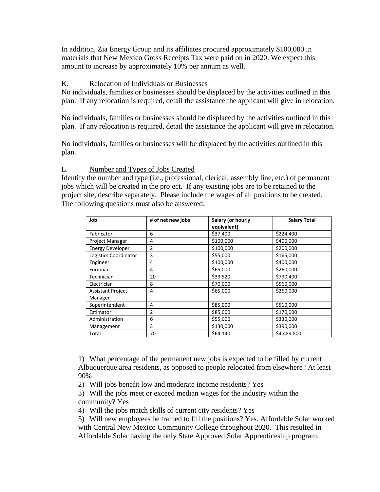In addition, Zia Energy Group and its affiliates procured approximately \$100,000 in materials that New Mexico Gross Receipts Tax were paid on in 2020. We expect this amount to increase by approximately 10% per annum as well.

## K. Relocation of Individuals or Businesses

No individuals, families or businesses should be displaced by the activities outlined in this plan. If any relocation is required, detail the assistance the applicant will give in relocation.

No individuals, families or businesses should be displaced by the activities outlined in this plan. If any relocation is required, detail the assistance the applicant will give in relocation.

No individuals, families or businesses will be displaced by the activities outlined in this plan.

## L. Number and Types of Jobs Created

Identify the number and type (i.e., professional, clerical, assembly line, etc.) of permanent jobs which will be created in the project. If any existing jobs are to be retained to the project site, describe separately. Please include the wages of all positions to be created. The following questions must also be answered:

| Job                      | # of net new jobs | Salary (or hourly | <b>Salary Total</b> |
|--------------------------|-------------------|-------------------|---------------------|
|                          |                   | equivalent)       |                     |
| Fabricator               | 6                 | \$37,400          | \$224,400           |
| Project Manager          | 4                 | \$100,000         | \$400,000           |
| <b>Energy Developer</b>  | 2                 | \$100,000         | \$200,000           |
| Logistics Coordinator    | 3                 | \$55,000          | \$165,000           |
| Engineer                 | 4                 | \$100,000         | \$400,000           |
| Foreman                  | 4                 | \$65,000          | \$260,000           |
| Technician               | 20                | \$39,520          | \$790,400           |
| Electrician              | 8                 | \$70,000          | \$560,000           |
| <b>Assistant Project</b> | 4                 | \$65,000          | \$260,000           |
| Manager                  |                   |                   |                     |
| Superintendent           | 4                 | \$85,000          | \$510,000           |
| Estimator                | $\overline{2}$    | \$85,000          | \$170,000           |
| Administration           | 6                 | \$55,000          | \$330,000           |
| Management               | 3                 | \$130,000         | \$390,000           |
| Total                    | 70                | \$64,140          | \$4,489,800         |

1) What percentage of the permanent new jobs is expected to be filled by current Albuquerque area residents, as opposed to people relocated from elsewhere? At least 90%

2) Will jobs benefit low and moderate income residents? Yes

3) Will the jobs meet or exceed median wages for the industry within the community? Yes

4) Will the jobs match skills of current city residents? Yes

5) Will new employees be trained to fill the positions? Yes. Affordable Solar worked with Central New Mexico Community College throughout 2020. This resulted in Affordable Solar having the only State Approved Solar Apprenticeship program.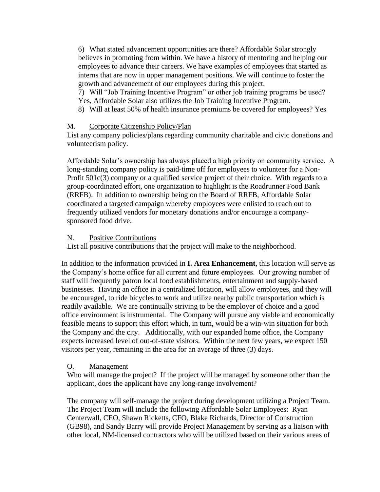6) What stated advancement opportunities are there? Affordable Solar strongly believes in promoting from within. We have a history of mentoring and helping our employees to advance their careers. We have examples of employees that started as interns that are now in upper management positions. We will continue to foster the growth and advancement of our employees during this project.

7) Will "Job Training Incentive Program" or other job training programs be used? Yes, Affordable Solar also utilizes the Job Training Incentive Program.

8) Will at least 50% of health insurance premiums be covered for employees? Yes

## M. Corporate Citizenship Policy/Plan

List any company policies/plans regarding community charitable and civic donations and volunteerism policy.

Affordable Solar's ownership has always placed a high priority on community service. A long-standing company policy is paid-time off for employees to volunteer for a Non-Profit 501c(3) company or a qualified service project of their choice. With regards to a group-coordinated effort, one organization to highlight is the Roadrunner Food Bank (RRFB). In addition to ownership being on the Board of RRFB, Affordable Solar coordinated a targeted campaign whereby employees were enlisted to reach out to frequently utilized vendors for monetary donations and/or encourage a companysponsored food drive.

## N. Positive Contributions

List all positive contributions that the project will make to the neighborhood.

In addition to the information provided in **I. Area Enhancement**, this location will serve as the Company's home office for all current and future employees. Our growing number of staff will frequently patron local food establishments, entertainment and supply-based businesses. Having an office in a centralized location, will allow employees, and they will be encouraged, to ride bicycles to work and utilize nearby public transportation which is readily available. We are continually striving to be the employer of choice and a good office environment is instrumental. The Company will pursue any viable and economically feasible means to support this effort which, in turn, would be a win-win situation for both the Company and the city. Additionally, with our expanded home office, the Company expects increased level of out-of-state visitors. Within the next few years, we expect 150 visitors per year, remaining in the area for an average of three (3) days.

## O. Management

Who will manage the project? If the project will be managed by someone other than the applicant, does the applicant have any long-range involvement?

The company will self-manage the project during development utilizing a Project Team. The Project Team will include the following Affordable Solar Employees: Ryan Centerwall, CEO, Shawn Ricketts, CFO, Blake Richards, Director of Construction (GB98), and Sandy Barry will provide Project Management by serving as a liaison with other local, NM-licensed contractors who will be utilized based on their various areas of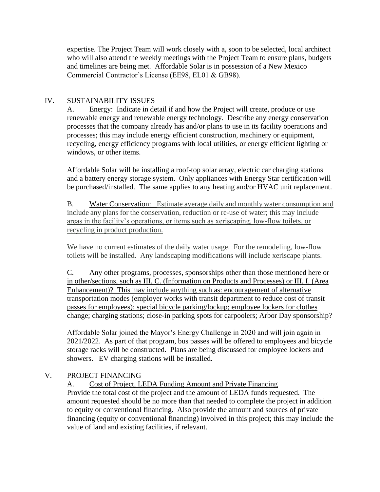expertise. The Project Team will work closely with a, soon to be selected, local architect who will also attend the weekly meetings with the Project Team to ensure plans, budgets and timelines are being met. Affordable Solar is in possession of a New Mexico Commercial Contractor's License (EE98, EL01 & GB98).

## IV. SUSTAINABILITY ISSUES

A. Energy: Indicate in detail if and how the Project will create, produce or use renewable energy and renewable energy technology. Describe any energy conservation processes that the company already has and/or plans to use in its facility operations and processes; this may include energy efficient construction, machinery or equipment, recycling, energy efficiency programs with local utilities, or energy efficient lighting or windows, or other items.

Affordable Solar will be installing a roof-top solar array, electric car charging stations and a battery energy storage system. Only appliances with Energy Star certification will be purchased/installed. The same applies to any heating and/or HVAC unit replacement.

B. Water Conservation: Estimate average daily and monthly water consumption and include any plans for the conservation, reduction or re-use of water; this may include areas in the facility's operations, or items such as xeriscaping, low-flow toilets, or recycling in product production.

We have no current estimates of the daily water usage. For the remodeling, low-flow toilets will be installed. Any landscaping modifications will include xeriscape plants.

C. Any other programs, processes, sponsorships other than those mentioned here or in other/sections, such as III. C. (Information on Products and Processes) or III. I. (Area Enhancement)? This may include anything such as: encouragement of alternative transportation modes (employer works with transit department to reduce cost of transit passes for employees); special bicycle parking/lockup; employee lockers for clothes change; charging stations; close-in parking spots for carpoolers; Arbor Day sponsorship?

Affordable Solar joined the Mayor's Energy Challenge in 2020 and will join again in 2021/2022. As part of that program, bus passes will be offered to employees and bicycle storage racks will be constructed. Plans are being discussed for employee lockers and showers. EV charging stations will be installed.

## V. PROJECT FINANCING

A. Cost of Project, LEDA Funding Amount and Private Financing Provide the total cost of the project and the amount of LEDA funds requested. The amount requested should be no more than that needed to complete the project in addition to equity or conventional financing. Also provide the amount and sources of private financing (equity or conventional financing) involved in this project; this may include the value of land and existing facilities, if relevant.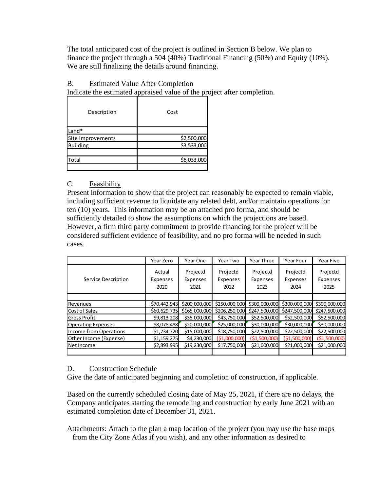The total anticipated cost of the project is outlined in Section B below. We plan to finance the project through a 504 (40%) Traditional Financing (50%) and Equity (10%). We are still finalizing the details around financing.

## B. Estimated Value After Completion

Indicate the estimated appraised value of the project after completion.

| Description       | Cost                       |  |  |
|-------------------|----------------------------|--|--|
| Land*             |                            |  |  |
| Site Improvements |                            |  |  |
| <b>Building</b>   | \$2,500,000<br>\$3,533,000 |  |  |
|                   |                            |  |  |
| Total             | \$6,033,000                |  |  |
|                   |                            |  |  |

## C. Feasibility

Present information to show that the project can reasonably be expected to remain viable, including sufficient revenue to liquidate any related debt, and/or maintain operations for ten (10) years. This information may be an attached pro forma, and should be sufficiently detailed to show the assumptions on which the projections are based. However, a firm third party commitment to provide financing for the project will be considered sufficient evidence of feasibility, and no pro forma will be needed in such cases.

|                           | Year Zero    | Year One     | Year Two      | Year Three    | Year Four                                                                          | Year Five    |
|---------------------------|--------------|--------------|---------------|---------------|------------------------------------------------------------------------------------|--------------|
|                           | Actual       | Projectd     | Projectd      | Projectd      | Projectd                                                                           | Projectd     |
| Service Description       | Expenses     | Expenses     | Expenses      | Expenses      | Expenses                                                                           | Expenses     |
|                           | 2020         | 2021         | 2022          | 2023          | 2024                                                                               | 2025         |
|                           |              |              |               |               |                                                                                    |              |
| Revenues                  | \$70,442,943 |              |               |               | \$200,000,000 \$250,000,000 \$300,000,000 \$300,000,000 \$300,000,000              |              |
| Cost of Sales             |              |              |               |               | \$60,629,735 \$165,000,000 \$206,250,000 \$247,500,000 \$247,500,000 \$247,500,000 |              |
| <b>Gross Profit</b>       | \$9,813,208  | \$35,000,000 | \$43,750,000  | \$52,500,000  | \$52,500,000                                                                       | \$52,500,000 |
| <b>Operating Expenses</b> | \$8,078,488  | \$20,000,000 | \$25,000,000  | \$30,000,000  | \$30,000,000                                                                       | \$30,000,000 |
| Income from Operations    | \$1,734,720  | \$15,000,000 | \$18,750,000  | \$22,500,000  | \$22,500,000                                                                       | \$22,500,000 |
| Other Income (Expense)    | \$1,159,275  | \$4,230,000  | (\$1,000,000) | (\$1.500.000) | (51.500.000)                                                                       | (51,500,000) |
| Net Income                | \$2,893,995  | \$19,230,000 | \$17,750,000  | \$21,000,000  | \$21,000,000                                                                       | \$21,000,000 |
|                           |              |              |               |               |                                                                                    |              |

## D. Construction Schedule

Give the date of anticipated beginning and completion of construction, if applicable.

Based on the currently scheduled closing date of May 25, 2021, if there are no delays, the Company anticipates starting the remodeling and construction by early June 2021 with an estimated completion date of December 31, 2021.

Attachments: Attach to the plan a map location of the project (you may use the base maps from the City Zone Atlas if you wish), and any other information as desired to